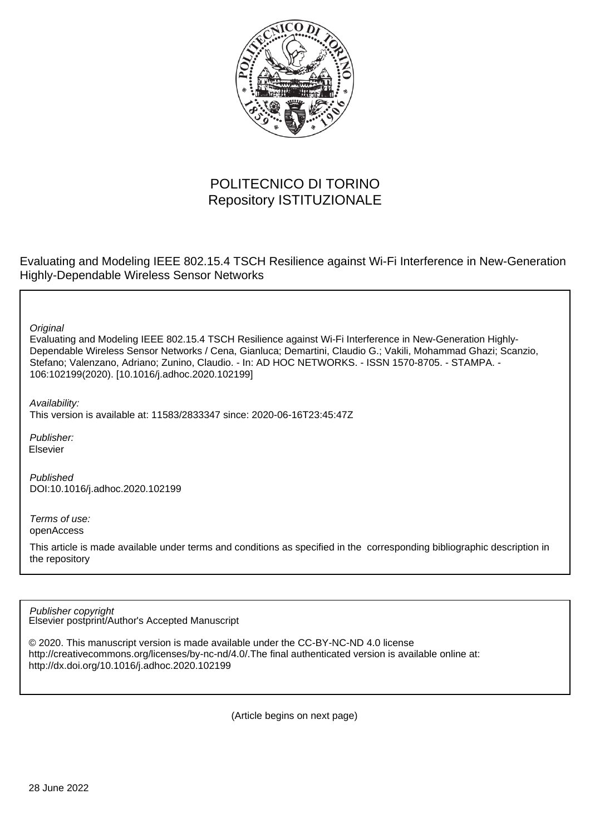

# POLITECNICO DI TORINO Repository ISTITUZIONALE

Evaluating and Modeling IEEE 802.15.4 TSCH Resilience against Wi-Fi Interference in New-Generation Highly-Dependable Wireless Sensor Networks

**Original** 

Evaluating and Modeling IEEE 802.15.4 TSCH Resilience against Wi-Fi Interference in New-Generation Highly-Dependable Wireless Sensor Networks / Cena, Gianluca; Demartini, Claudio G.; Vakili, Mohammad Ghazi; Scanzio, Stefano; Valenzano, Adriano; Zunino, Claudio. - In: AD HOC NETWORKS. - ISSN 1570-8705. - STAMPA. - 106:102199(2020). [10.1016/j.adhoc.2020.102199]

Availability:

This version is available at: 11583/2833347 since: 2020-06-16T23:45:47Z

Publisher: Elsevier

Published DOI:10.1016/j.adhoc.2020.102199

Terms of use: openAccess

This article is made available under terms and conditions as specified in the corresponding bibliographic description in the repository

Elsevier postprint/Author's Accepted Manuscript Publisher copyright

© 2020. This manuscript version is made available under the CC-BY-NC-ND 4.0 license http://creativecommons.org/licenses/by-nc-nd/4.0/.The final authenticated version is available online at: http://dx.doi.org/10.1016/j.adhoc.2020.102199

(Article begins on next page)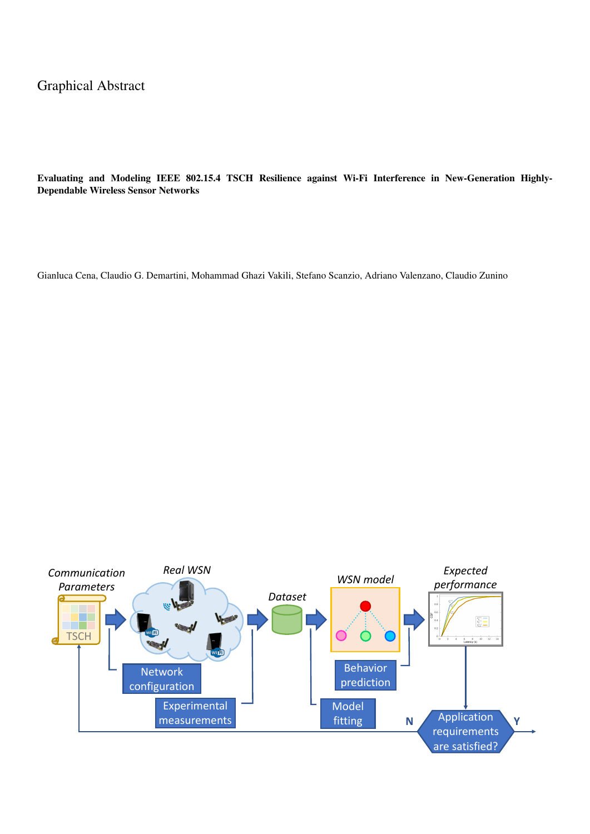## Graphical Abstract

Evaluating and Modeling IEEE 802.15.4 TSCH Resilience against Wi-Fi Interference in New-Generation Highly-Dependable Wireless Sensor Networks

Gianluca Cena, Claudio G. Demartini, Mohammad Ghazi Vakili, Stefano Scanzio, Adriano Valenzano, Claudio Zunino

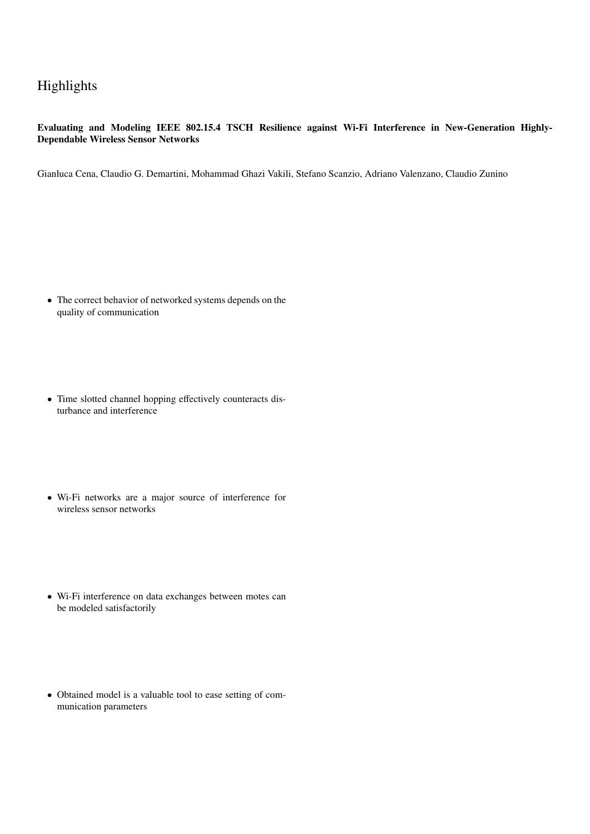## Highlights

## Evaluating and Modeling IEEE 802.15.4 TSCH Resilience against Wi-Fi Interference in New-Generation Highly-Dependable Wireless Sensor Networks

Gianluca Cena, Claudio G. Demartini, Mohammad Ghazi Vakili, Stefano Scanzio, Adriano Valenzano, Claudio Zunino

- The correct behavior of networked systems depends on the quality of communication
- Time slotted channel hopping effectively counteracts disturbance and interference
- Wi-Fi networks are a major source of interference for wireless sensor networks
- Wi-Fi interference on data exchanges between motes can be modeled satisfactorily
- Obtained model is a valuable tool to ease setting of communication parameters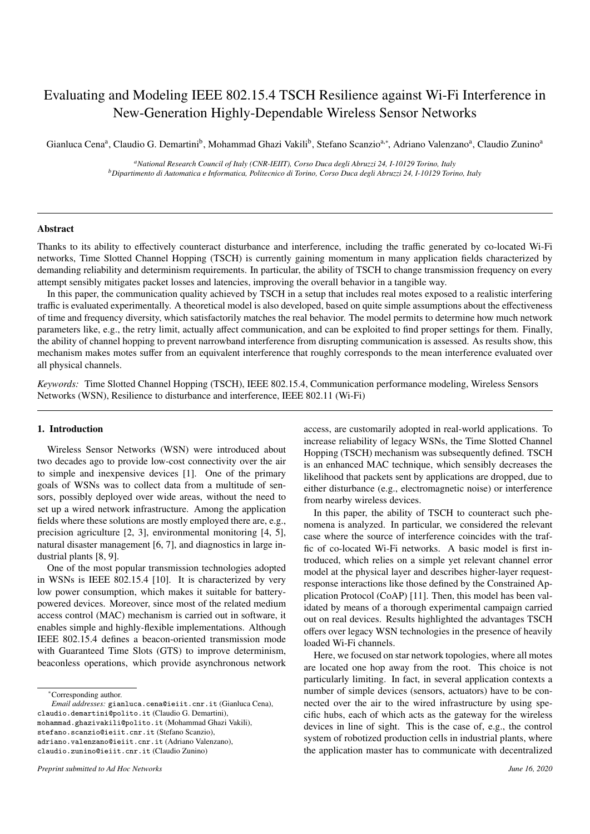## Evaluating and Modeling IEEE 802.15.4 TSCH Resilience against Wi-Fi Interference in New-Generation Highly-Dependable Wireless Sensor Networks

Gianluca Cena<sup>a</sup>, Claudio G. Demartini<sup>b</sup>, Mohammad Ghazi Vakili<sup>b</sup>, Stefano Scanzio<sup>a,∗</sup>, Adriano Valenzano<sup>a</sup>, Claudio Zunino<sup>a</sup>

*<sup>a</sup>National Research Council of Italy (CNR-IEIIT), Corso Duca degli Abruzzi 24, I-10129 Torino, Italy <sup>b</sup>Dipartimento di Automatica e Informatica, Politecnico di Torino, Corso Duca degli Abruzzi 24, I-10129 Torino, Italy*

## Abstract

Thanks to its ability to effectively counteract disturbance and interference, including the traffic generated by co-located Wi-Fi networks, Time Slotted Channel Hopping (TSCH) is currently gaining momentum in many application fields characterized by demanding reliability and determinism requirements. In particular, the ability of TSCH to change transmission frequency on every attempt sensibly mitigates packet losses and latencies, improving the overall behavior in a tangible way.

In this paper, the communication quality achieved by TSCH in a setup that includes real motes exposed to a realistic interfering traffic is evaluated experimentally. A theoretical model is also developed, based on quite simple assumptions about the effectiveness of time and frequency diversity, which satisfactorily matches the real behavior. The model permits to determine how much network parameters like, e.g., the retry limit, actually affect communication, and can be exploited to find proper settings for them. Finally, the ability of channel hopping to prevent narrowband interference from disrupting communication is assessed. As results show, this mechanism makes motes suffer from an equivalent interference that roughly corresponds to the mean interference evaluated over all physical channels.

*Keywords:* Time Slotted Channel Hopping (TSCH), IEEE 802.15.4, Communication performance modeling, Wireless Sensors Networks (WSN), Resilience to disturbance and interference, IEEE 802.11 (Wi-Fi)

## 1. Introduction

Wireless Sensor Networks (WSN) were introduced about two decades ago to provide low-cost connectivity over the air to simple and inexpensive devices [1]. One of the primary goals of WSNs was to collect data from a multitude of sensors, possibly deployed over wide areas, without the need to set up a wired network infrastructure. Among the application fields where these solutions are mostly employed there are, e.g., precision agriculture [2, 3], environmental monitoring [4, 5], natural disaster management [6, 7], and diagnostics in large industrial plants [8, 9].

One of the most popular transmission technologies adopted in WSNs is IEEE 802.15.4 [10]. It is characterized by very low power consumption, which makes it suitable for batterypowered devices. Moreover, since most of the related medium access control (MAC) mechanism is carried out in software, it enables simple and highly-flexible implementations. Although IEEE 802.15.4 defines a beacon-oriented transmission mode with Guaranteed Time Slots (GTS) to improve determinism, beaconless operations, which provide asynchronous network

<sup>∗</sup>Corresponding author.

mohammad.ghazivakili@polito.it (Mohammad Ghazi Vakili),

stefano.scanzio@ieiit.cnr.it (Stefano Scanzio),

adriano.valenzano@ieiit.cnr.it (Adriano Valenzano),

claudio.zunino@ieiit.cnr.it (Claudio Zunino)

access, are customarily adopted in real-world applications. To increase reliability of legacy WSNs, the Time Slotted Channel Hopping (TSCH) mechanism was subsequently defined. TSCH is an enhanced MAC technique, which sensibly decreases the likelihood that packets sent by applications are dropped, due to either disturbance (e.g., electromagnetic noise) or interference from nearby wireless devices.

In this paper, the ability of TSCH to counteract such phenomena is analyzed. In particular, we considered the relevant case where the source of interference coincides with the traffic of co-located Wi-Fi networks. A basic model is first introduced, which relies on a simple yet relevant channel error model at the physical layer and describes higher-layer requestresponse interactions like those defined by the Constrained Application Protocol (CoAP) [11]. Then, this model has been validated by means of a thorough experimental campaign carried out on real devices. Results highlighted the advantages TSCH offers over legacy WSN technologies in the presence of heavily loaded Wi-Fi channels.

Here, we focused on star network topologies, where all motes are located one hop away from the root. This choice is not particularly limiting. In fact, in several application contexts a number of simple devices (sensors, actuators) have to be connected over the air to the wired infrastructure by using specific hubs, each of which acts as the gateway for the wireless devices in line of sight. This is the case of, e.g., the control system of robotized production cells in industrial plants, where the application master has to communicate with decentralized

*Email addresses:* gianluca.cena@ieiit.cnr.it (Gianluca Cena), claudio.demartini@polito.it (Claudio G. Demartini),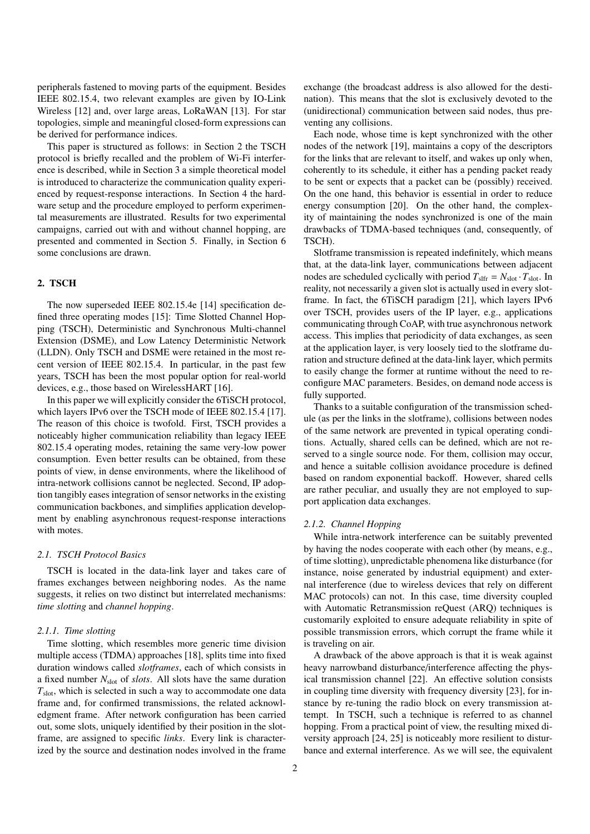peripherals fastened to moving parts of the equipment. Besides IEEE 802.15.4, two relevant examples are given by IO-Link Wireless [12] and, over large areas, LoRaWAN [13]. For star topologies, simple and meaningful closed-form expressions can be derived for performance indices.

This paper is structured as follows: in Section 2 the TSCH protocol is briefly recalled and the problem of Wi-Fi interference is described, while in Section 3 a simple theoretical model is introduced to characterize the communication quality experienced by request-response interactions. In Section 4 the hardware setup and the procedure employed to perform experimental measurements are illustrated. Results for two experimental campaigns, carried out with and without channel hopping, are presented and commented in Section 5. Finally, in Section 6 some conclusions are drawn.

## 2. TSCH

The now superseded IEEE 802.15.4e [14] specification defined three operating modes [15]: Time Slotted Channel Hopping (TSCH), Deterministic and Synchronous Multi-channel Extension (DSME), and Low Latency Deterministic Network (LLDN). Only TSCH and DSME were retained in the most recent version of IEEE 802.15.4. In particular, in the past few years, TSCH has been the most popular option for real-world devices, e.g., those based on WirelessHART [16].

In this paper we will explicitly consider the 6TiSCH protocol, which layers IPv6 over the TSCH mode of IEEE 802.15.4 [17]. The reason of this choice is twofold. First, TSCH provides a noticeably higher communication reliability than legacy IEEE 802.15.4 operating modes, retaining the same very-low power consumption. Even better results can be obtained, from these points of view, in dense environments, where the likelihood of intra-network collisions cannot be neglected. Second, IP adoption tangibly eases integration of sensor networks in the existing communication backbones, and simplifies application development by enabling asynchronous request-response interactions with motes.

#### *2.1. TSCH Protocol Basics*

TSCH is located in the data-link layer and takes care of frames exchanges between neighboring nodes. As the name suggests, it relies on two distinct but interrelated mechanisms: *time slotting* and *channel hopping*.

#### *2.1.1. Time slotting*

Time slotting, which resembles more generic time division multiple access (TDMA) approaches [18], splits time into fixed duration windows called *slotframes*, each of which consists in a fixed number *N*slot of *slots*. All slots have the same duration  $T<sub>slot</sub>$ , which is selected in such a way to accommodate one data frame and, for confirmed transmissions, the related acknowledgment frame. After network configuration has been carried out, some slots, uniquely identified by their position in the slotframe, are assigned to specific *links*. Every link is characterized by the source and destination nodes involved in the frame

exchange (the broadcast address is also allowed for the destination). This means that the slot is exclusively devoted to the (unidirectional) communication between said nodes, thus preventing any collisions.

Each node, whose time is kept synchronized with the other nodes of the network [19], maintains a copy of the descriptors for the links that are relevant to itself, and wakes up only when, coherently to its schedule, it either has a pending packet ready to be sent or expects that a packet can be (possibly) received. On the one hand, this behavior is essential in order to reduce energy consumption [20]. On the other hand, the complexity of maintaining the nodes synchronized is one of the main drawbacks of TDMA-based techniques (and, consequently, of TSCH).

Slotframe transmission is repeated indefinitely, which means that, at the data-link layer, communications between adjacent nodes are scheduled cyclically with period  $T_{\text{slfr}} = N_{\text{slot}} \cdot T_{\text{slot}}$ . In reality, not necessarily a given slot is actually used in every slotframe. In fact, the 6TiSCH paradigm [21], which layers IPv6 over TSCH, provides users of the IP layer, e.g., applications communicating through CoAP, with true asynchronous network access. This implies that periodicity of data exchanges, as seen at the application layer, is very loosely tied to the slotframe duration and structure defined at the data-link layer, which permits to easily change the former at runtime without the need to reconfigure MAC parameters. Besides, on demand node access is fully supported.

Thanks to a suitable configuration of the transmission schedule (as per the links in the slotframe), collisions between nodes of the same network are prevented in typical operating conditions. Actually, shared cells can be defined, which are not reserved to a single source node. For them, collision may occur, and hence a suitable collision avoidance procedure is defined based on random exponential backoff. However, shared cells are rather peculiar, and usually they are not employed to support application data exchanges.

## *2.1.2. Channel Hopping*

While intra-network interference can be suitably prevented by having the nodes cooperate with each other (by means, e.g., of time slotting), unpredictable phenomena like disturbance (for instance, noise generated by industrial equipment) and external interference (due to wireless devices that rely on different MAC protocols) can not. In this case, time diversity coupled with Automatic Retransmission reQuest (ARQ) techniques is customarily exploited to ensure adequate reliability in spite of possible transmission errors, which corrupt the frame while it is traveling on air.

A drawback of the above approach is that it is weak against heavy narrowband disturbance/interference affecting the physical transmission channel [22]. An effective solution consists in coupling time diversity with frequency diversity [23], for instance by re-tuning the radio block on every transmission attempt. In TSCH, such a technique is referred to as channel hopping. From a practical point of view, the resulting mixed diversity approach [24, 25] is noticeably more resilient to disturbance and external interference. As we will see, the equivalent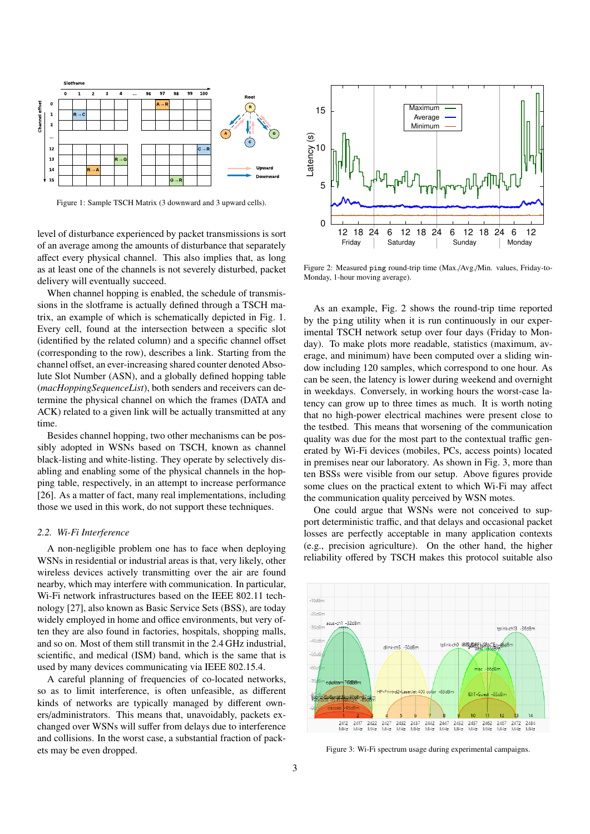

Figure 1: Sample TSCH Matrix (3 downward and 3 upward cells).

level of disturbance experienced by packet transmissions is sort of an average among the amounts of disturbance that separately affect every physical channel. This also implies that, as long as at least one of the channels is not severely disturbed, packet delivery will eventually succeed.

When channel hopping is enabled, the schedule of transmissions in the slotframe is actually defined through a TSCH matrix, an example of which is schematically depicted in Fig. 1. Every cell, found at the intersection between a specific slot (identified by the related column) and a specific channel offset (corresponding to the row), describes a link. Starting from the channel offset, an ever-increasing shared counter denoted Absolute Slot Number (ASN), and a globally defined hopping table (*macHoppingSequenceList*), both senders and receivers can determine the physical channel on which the frames (DATA and ACK) related to a given link will be actually transmitted at any time.

Besides channel hopping, two other mechanisms can be possibly adopted in WSNs based on TSCH, known as channel black-listing and white-listing. They operate by selectively disabling and enabling some of the physical channels in the hopping table, respectively, in an attempt to increase performance [26]. As a matter of fact, many real implementations, including those we used in this work, do not support these techniques.

#### *2.2. Wi-Fi Interference*

A non-negligible problem one has to face when deploying WSNs in residential or industrial areas is that, very likely, other wireless devices actively transmitting over the air are found nearby, which may interfere with communication. In particular, Wi-Fi network infrastructures based on the IEEE 802.11 technology [27], also known as Basic Service Sets (BSS), are today widely employed in home and office environments, but very often they are also found in factories, hospitals, shopping malls, and so on. Most of them still transmit in the 2.4 GHz industrial, scientific, and medical (ISM) band, which is the same that is used by many devices communicating via IEEE 802.15.4.

A careful planning of frequencies of co-located networks, so as to limit interference, is often unfeasible, as different kinds of networks are typically managed by different owners/administrators. This means that, unavoidably, packets exchanged over WSNs will suffer from delays due to interference and collisions. In the worst case, a substantial fraction of packets may be even dropped.



Figure 2: Measured ping round-trip time (Max./Avg./Min. values, Friday-to-Monday, 1-hour moving average).

As an example, Fig. 2 shows the round-trip time reported by the ping utility when it is run continuously in our experimental TSCH network setup over four days (Friday to Monday). To make plots more readable, statistics (maximum, average, and minimum) have been computed over a sliding window including 120 samples, which correspond to one hour. As can be seen, the latency is lower during weekend and overnight in weekdays. Conversely, in working hours the worst-case latency can grow up to three times as much. It is worth noting that no high-power electrical machines were present close to the testbed. This means that worsening of the communication quality was due for the most part to the contextual traffic generated by Wi-Fi devices (mobiles, PCs, access points) located in premises near our laboratory. As shown in Fig. 3, more than ten BSSs were visible from our setup. Above figures provide some clues on the practical extent to which Wi-Fi may affect the communication quality perceived by WSN motes.

One could argue that WSNs were not conceived to support deterministic traffic, and that delays and occasional packet losses are perfectly acceptable in many application contexts (e.g., precision agriculture). On the other hand, the higher reliability offered by TSCH makes this protocol suitable also



Figure 3: Wi-Fi spectrum usage during experimental campaigns.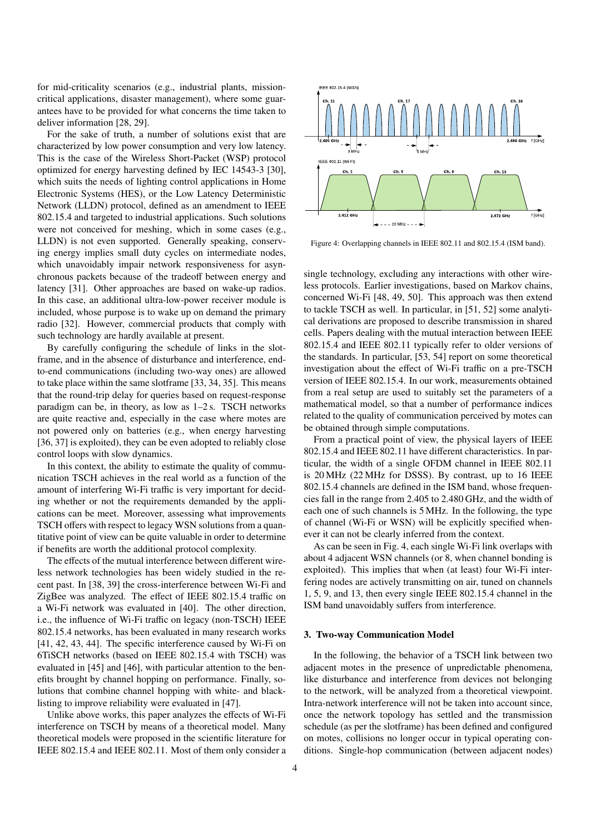for mid-criticality scenarios (e.g., industrial plants, missioncritical applications, disaster management), where some guarantees have to be provided for what concerns the time taken to deliver information [28, 29].

For the sake of truth, a number of solutions exist that are characterized by low power consumption and very low latency. This is the case of the Wireless Short-Packet (WSP) protocol optimized for energy harvesting defined by IEC 14543-3 [30], which suits the needs of lighting control applications in Home Electronic Systems (HES), or the Low Latency Deterministic Network (LLDN) protocol, defined as an amendment to IEEE 802.15.4 and targeted to industrial applications. Such solutions were not conceived for meshing, which in some cases (e.g., LLDN) is not even supported. Generally speaking, conserving energy implies small duty cycles on intermediate nodes, which unavoidably impair network responsiveness for asynchronous packets because of the tradeoff between energy and latency [31]. Other approaches are based on wake-up radios. In this case, an additional ultra-low-power receiver module is included, whose purpose is to wake up on demand the primary radio [32]. However, commercial products that comply with such technology are hardly available at present.

By carefully configuring the schedule of links in the slotframe, and in the absence of disturbance and interference, endto-end communications (including two-way ones) are allowed to take place within the same slotframe [33, 34, 35]. This means that the round-trip delay for queries based on request-response paradigm can be, in theory, as low as 1–2 s. TSCH networks are quite reactive and, especially in the case where motes are not powered only on batteries (e.g., when energy harvesting [36, 37] is exploited), they can be even adopted to reliably close control loops with slow dynamics.

In this context, the ability to estimate the quality of communication TSCH achieves in the real world as a function of the amount of interfering Wi-Fi traffic is very important for deciding whether or not the requirements demanded by the applications can be meet. Moreover, assessing what improvements TSCH offers with respect to legacy WSN solutions from a quantitative point of view can be quite valuable in order to determine if benefits are worth the additional protocol complexity.

The effects of the mutual interference between different wireless network technologies has been widely studied in the recent past. In [38, 39] the cross-interference between Wi-Fi and ZigBee was analyzed. The effect of IEEE 802.15.4 traffic on a Wi-Fi network was evaluated in [40]. The other direction, i.e., the influence of Wi-Fi traffic on legacy (non-TSCH) IEEE 802.15.4 networks, has been evaluated in many research works [41, 42, 43, 44]. The specific interference caused by Wi-Fi on 6TiSCH networks (based on IEEE 802.15.4 with TSCH) was evaluated in [45] and [46], with particular attention to the benefits brought by channel hopping on performance. Finally, solutions that combine channel hopping with white- and blacklisting to improve reliability were evaluated in [47].

Unlike above works, this paper analyzes the effects of Wi-Fi interference on TSCH by means of a theoretical model. Many theoretical models were proposed in the scientific literature for IEEE 802.15.4 and IEEE 802.11. Most of them only consider a



Figure 4: Overlapping channels in IEEE 802.11 and 802.15.4 (ISM band).

single technology, excluding any interactions with other wireless protocols. Earlier investigations, based on Markov chains, concerned Wi-Fi [48, 49, 50]. This approach was then extend to tackle TSCH as well. In particular, in [51, 52] some analytical derivations are proposed to describe transmission in shared cells. Papers dealing with the mutual interaction between IEEE 802.15.4 and IEEE 802.11 typically refer to older versions of the standards. In particular, [53, 54] report on some theoretical investigation about the effect of Wi-Fi traffic on a pre-TSCH version of IEEE 802.15.4. In our work, measurements obtained from a real setup are used to suitably set the parameters of a mathematical model, so that a number of performance indices related to the quality of communication perceived by motes can be obtained through simple computations.

From a practical point of view, the physical layers of IEEE 802.15.4 and IEEE 802.11 have different characteristics. In particular, the width of a single OFDM channel in IEEE 802.11 is 20 MHz (22 MHz for DSSS). By contrast, up to 16 IEEE 802.15.4 channels are defined in the ISM band, whose frequencies fall in the range from 2.405 to 2.480 GHz, and the width of each one of such channels is 5 MHz. In the following, the type of channel (Wi-Fi or WSN) will be explicitly specified whenever it can not be clearly inferred from the context.

As can be seen in Fig. 4, each single Wi-Fi link overlaps with about 4 adjacent WSN channels (or 8, when channel bonding is exploited). This implies that when (at least) four Wi-Fi interfering nodes are actively transmitting on air, tuned on channels 1, 5, 9, and 13, then every single IEEE 802.15.4 channel in the ISM band unavoidably suffers from interference.

#### 3. Two-way Communication Model

In the following, the behavior of a TSCH link between two adjacent motes in the presence of unpredictable phenomena, like disturbance and interference from devices not belonging to the network, will be analyzed from a theoretical viewpoint. Intra-network interference will not be taken into account since, once the network topology has settled and the transmission schedule (as per the slotframe) has been defined and configured on motes, collisions no longer occur in typical operating conditions. Single-hop communication (between adjacent nodes)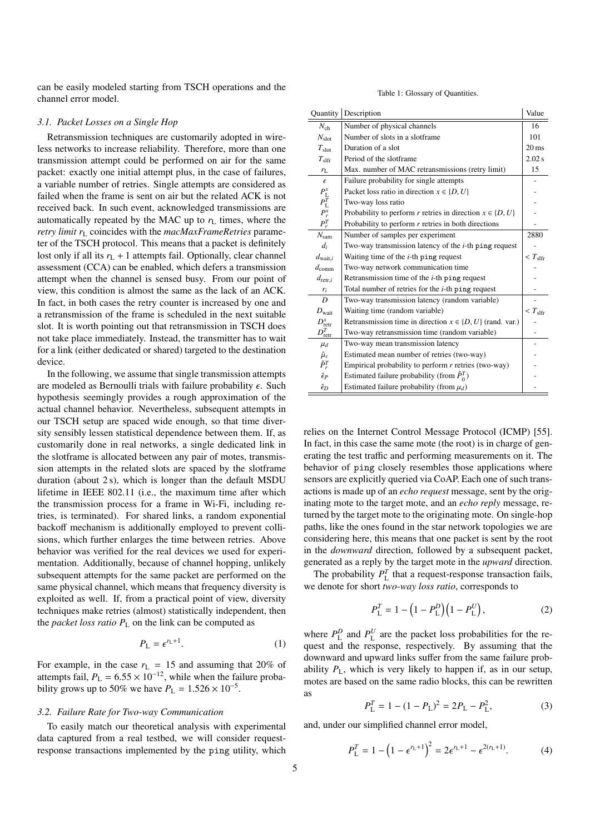can be easily modeled starting from TSCH operations and the channel error model.

#### *3.1. Packet Losses on a Single Hop*

Retransmission techniques are customarily adopted in wireless networks to increase reliability. Therefore, more than one transmission attempt could be performed on air for the same packet: exactly one initial attempt plus, in the case of failures, a variable number of retries. Single attempts are considered as failed when the frame is sent on air but the related ACK is not received back. In such event, acknowledged transmissions are automatically repeated by the MAC up to  $r<sub>L</sub>$  times, where the *retry limit r*<sup>L</sup> coincides with the *macMaxFrameRetries* parameter of the TSCH protocol. This means that a packet is definitely lost only if all its  $r_L + 1$  attempts fail. Optionally, clear channel assessment (CCA) can be enabled, which defers a transmission attempt when the channel is sensed busy. From our point of view, this condition is almost the same as the lack of an ACK. In fact, in both cases the retry counter is increased by one and a retransmission of the frame is scheduled in the next suitable slot. It is worth pointing out that retransmission in TSCH does not take place immediately. Instead, the transmitter has to wait for a link (either dedicated or shared) targeted to the destination device.

In the following, we assume that single transmission attempts are modeled as Bernoulli trials with failure probability  $\epsilon$ . Such hypothesis seemingly provides a rough approximation of the actual channel behavior. Nevertheless, subsequent attempts in our TSCH setup are spaced wide enough, so that time diversity sensibly lessen statistical dependence between them. If, as customarily done in real networks, a single dedicated link in the slotframe is allocated between any pair of motes, transmission attempts in the related slots are spaced by the slotframe duration (about 2 s), which is longer than the default MSDU lifetime in IEEE 802.11 (i.e., the maximum time after which the transmission process for a frame in Wi-Fi, including retries, is terminated). For shared links, a random exponential backoff mechanism is additionally employed to prevent collisions, which further enlarges the time between retries. Above behavior was verified for the real devices we used for experimentation. Additionally, because of channel hopping, unlikely subsequent attempts for the same packet are performed on the same physical channel, which means that frequency diversity is exploited as well. If, from a practical point of view, diversity techniques make retries (almost) statistically independent, then the *packet loss ratio*  $P_L$  on the link can be computed as

$$
P_{\rm L} = \epsilon^{r_{\rm L}+1}.\tag{1}
$$

For example, in the case  $r_L = 15$  and assuming that 20% of attempts fail,  $P_L = 6.55 \times 10^{-12}$ , while when the failure probability grows up to 50% we have  $P<sub>L</sub> = 1.526 \times 10^{-5}$ .

### *3.2. Failure Rate for Two-way Communication*

To easily match our theoretical analysis with experimental data captured from a real testbed, we will consider requestresponse transactions implemented by the ping utility, which

#### Table 1: Glossary of Quantities.

| Quantity                    | Description                                                    | Value              |
|-----------------------------|----------------------------------------------------------------|--------------------|
| $N_{ch}$                    | Number of physical channels                                    | 16                 |
| $N_{\rm slot}$              | Number of slots in a slotframe                                 | 101                |
| $T_{\rm slot}$              | Duration of a slot.                                            | $20 \,\mathrm{ms}$ |
| $T_{\rm slfr}$              | Period of the slotframe                                        | 2.02 s             |
| $r_{L}$                     | Max. number of MAC retransmissions (retry limit)               | 15                 |
| $\epsilon$                  | Failure probability for single attempts                        |                    |
| $P_{\rm L}^{x}$             | Packet loss ratio in direction $x \in \{D, U\}$                |                    |
| $P^{\widetilde{T}}_{\rm L}$ | Two-way loss ratio                                             |                    |
| $P_r^x$                     | Probability to perform r retries in direction $x \in \{D, U\}$ |                    |
| $P_r^T$                     | Probability to perform $r$ retries in both directions          |                    |
| $N_{\rm sam}$               | Number of samples per experiment                               | 2880               |
| $d_i$                       | Two-way transmission latency of the $i$ -th ping request       |                    |
| $d_{\text{wait},i}$         | Waiting time of the $i$ -th ping request                       | $T_{\rm slfr}$     |
| $d_{\text{comm}}$           | Two-way network communication time                             |                    |
| $d_{\text{retr},i}$         | Retransmission time of the $i$ -th ping request                |                    |
| $r_i$                       | Total number of retries for the <i>i</i> -th ping request      |                    |
| $\overline{D}$              | Two-way transmission latency (random variable)                 |                    |
| $D_{\text{wait}}$           | Waiting time (random variable)                                 | $T_{\rm slfr}$     |
| $D_{\text{retr}}^x$         | Retransmission time in direction $x \in \{D, U\}$ (rand. var.) |                    |
| $D_{\rm retro}^{T}$         | Two-way retransmission time (random variable)                  |                    |
| $\mu_d$                     | Two-way mean transmission latency                              |                    |
| $\hat{\mu}_r$               | Estimated mean number of retries (two-way)                     |                    |
| $\hat{P}_r^T$               | Empirical probability to perform $r$ retries (two-way)         |                    |
| $\hat{\epsilon}_P$          | Estimated failure probability (from $\hat{P}_{0}^{T}$ )        |                    |
| $\hat{\epsilon}_D$          | Estimated failure probability (from $\mu_d$ )                  |                    |

relies on the Internet Control Message Protocol (ICMP) [55]. In fact, in this case the same mote (the root) is in charge of generating the test traffic and performing measurements on it. The behavior of ping closely resembles those applications where sensors are explicitly queried via CoAP. Each one of such transactions is made up of an *echo request* message, sent by the originating mote to the target mote, and an *echo reply* message, returned by the target mote to the originating mote. On single-hop paths, like the ones found in the star network topologies we are considering here, this means that one packet is sent by the root in the *downward* direction, followed by a subsequent packet, generated as a reply by the target mote in the *upward* direction.

The probability  $P_{\text{L}}^{T}$  that a request-response transaction fails, we denote for short *two-way loss ratio*, corresponds to

$$
P_{\rm L}^{T} = 1 - \left(1 - P_{\rm L}^{D}\right)\left(1 - P_{\rm L}^{U}\right),\tag{2}
$$

where  $P_{\text{L}}^{D}$  and  $P_{\text{L}}^{U}$  are the packet loss probabilities for the request and the response, respectively. By assuming that the downward and upward links suffer from the same failure probability  $P_{\text{L}}$ , which is very likely to happen if, as in our setup, motes are based on the same radio blocks, this can be rewritten as

$$
P_{\rm L}^T = 1 - (1 - P_{\rm L})^2 = 2P_{\rm L} - P_{\rm L}^2,\tag{3}
$$

and, under our simplified channel error model,

$$
P_{\rm L}^T = 1 - \left(1 - \epsilon^{r_{\rm L}+1}\right)^2 = 2\epsilon^{r_{\rm L}+1} - \epsilon^{2(r_{\rm L}+1)}.
$$
 (4)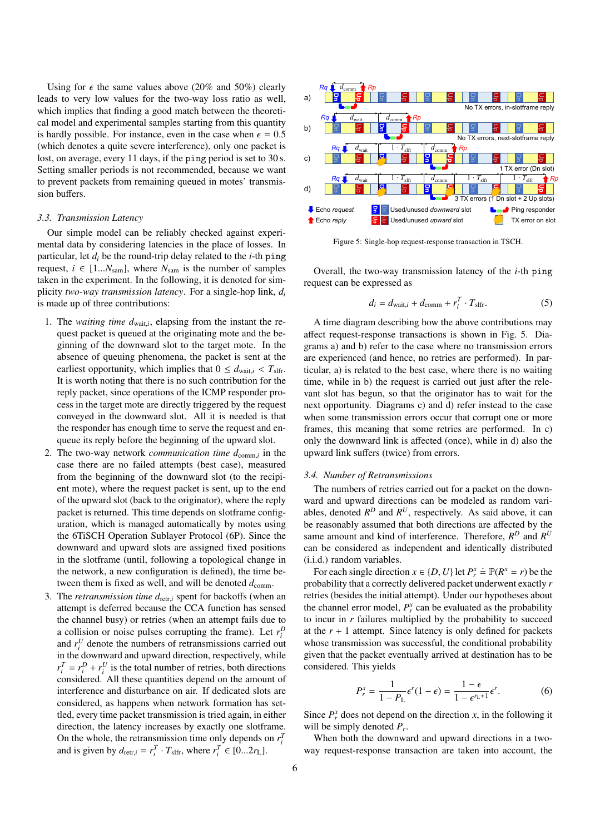Using for  $\epsilon$  the same values above (20% and 50%) clearly leads to very low values for the two-way loss ratio as well, which implies that finding a good match between the theoretical model and experimental samples starting from this quantity is hardly possible. For instance, even in the case when  $\epsilon = 0.5$ (which denotes a quite severe interference), only one packet is lost, on average, every 11 days, if the ping period is set to 30 s. Setting smaller periods is not recommended, because we want to prevent packets from remaining queued in motes' transmission buffers.

#### *3.3. Transmission Latency*

Our simple model can be reliably checked against experimental data by considering latencies in the place of losses. In particular, let  $d_i$  be the round-trip delay related to the *i*-th ping request,  $i \in [1...N_{\text{sam}}]$ , where  $N_{\text{sam}}$  is the number of samples taken in the experiment. In the following, it is denoted for simplicity *two-way transmission latency*. For a single-hop link, *d<sup>i</sup>* is made up of three contributions:

- 1. The *waiting time*  $d_{\text{wait},i}$ , elapsing from the instant the re-<br>quest peaket is quand at the originating mote and the bequest packet is queued at the originating mote and the beginning of the downward slot to the target mote. In the absence of queuing phenomena, the packet is sent at the earliest opportunity, which implies that  $0 \le d_{\text{wait},i} < T_{\text{slfr}}$ . It is worth noting that there is no such contribution for the reply packet, since operations of the ICMP responder process in the target mote are directly triggered by the request conveyed in the downward slot. All it is needed is that the responder has enough time to serve the request and enqueue its reply before the beginning of the upward slot.
- 2. The two-way network *communication time*  $d_{\text{comm},i}$  in the case there are no failed attempts (best case), measured from the beginning of the downward slot (to the recipient mote), where the request packet is sent, up to the end of the upward slot (back to the originator), where the reply packet is returned. This time depends on slotframe configuration, which is managed automatically by motes using the 6TiSCH Operation Sublayer Protocol (6P). Since the downward and upward slots are assigned fixed positions in the slotframe (until, following a topological change in the network, a new configuration is defined), the time between them is fixed as well, and will be denoted  $d_{\text{comm}}$ .
- 3. The *retransmission time d*<sub>retr,*i*</sub> spent for backoffs (when an attempt is deferred because the CCA function has sensed the channel busy) or retries (when an attempt fails due to a collision or noise pulses corrupting the frame). Let  $r_i^D$ and  $r_i^U$  denote the numbers of retransmissions carried out in the downward and upward direction, respectively, while  $r_i^T = r_i^D + r_i^U$  is the total number of retries, both directions considered. All these quantities depend on the amount of interference and disturbance on air. If dedicated slots are considered, as happens when network formation has settled, every time packet transmission is tried again, in either direction, the latency increases by exactly one slotframe. On the whole, the retransmission time only depends on  $r_i^T$ and is given by  $d_{\text{retr},i} = r_i^T \cdot T_{\text{sifr}}$ , where  $r_i^T \in [0...2r_L]$ .



Figure 5: Single-hop request-response transaction in TSCH.

Overall, the two-way transmission latency of the *i*-th ping request can be expressed as

$$
d_i = d_{\text{wait},i} + d_{\text{comm}} + r_i^T \cdot T_{\text{slfr}}.\tag{5}
$$

A time diagram describing how the above contributions may affect request-response transactions is shown in Fig. 5. Diagrams a) and b) refer to the case where no transmission errors are experienced (and hence, no retries are performed). In particular, a) is related to the best case, where there is no waiting time, while in b) the request is carried out just after the relevant slot has begun, so that the originator has to wait for the next opportunity. Diagrams c) and d) refer instead to the case when some transmission errors occur that corrupt one or more frames, this meaning that some retries are performed. In c) only the downward link is affected (once), while in d) also the upward link suffers (twice) from errors.

## *3.4. Number of Retransmissions*

The numbers of retries carried out for a packet on the downward and upward directions can be modeled as random variables, denoted  $R^D$  and  $R^U$ , respectively. As said above, it can be reasonably assumed that both directions are affected by the same amount and kind of interference. Therefore,  $R^D$  and  $R^U$ can be considered as independent and identically distributed (i.i.d.) random variables.

For each single direction  $x \in \{D, U\}$  let  $P_x^x = \mathbb{P}(R^x = r)$  be the phability that a correctly delivered packet underwent exactly *r* probability that a correctly delivered packet underwent exactly *r* retries (besides the initial attempt). Under our hypotheses about the channel error model,  $P_r^x$  can be evaluated as the probability to incur in *r* failures multiplied by the probability to succeed at the  $r + 1$  attempt. Since latency is only defined for packets whose transmission was successful, the conditional probability given that the packet eventually arrived at destination has to be considered. This yields

$$
P_r^x = \frac{1}{1 - P_L} \epsilon^r (1 - \epsilon) = \frac{1 - \epsilon}{1 - \epsilon^{r_L + 1}} \epsilon^r.
$$
 (6)

Since  $P_r^x$  does not depend on the direction *x*, in the following it will be simply denoted *P<sup>r</sup>* .

When both the downward and upward directions in a twoway request-response transaction are taken into account, the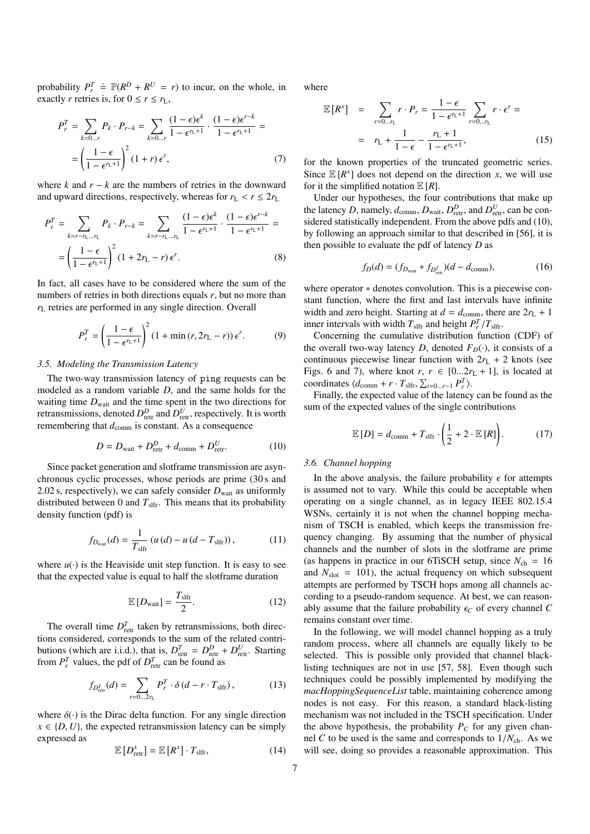probability  $P_r^T \doteq \mathbb{P}(R^D + R^U = r)$  to incur, on the whole, in exactly *r* retries is, for  $0 \le r \le r_L$ ,

$$
P_r^T = \sum_{k=0...r} P_k \cdot P_{r-k} = \sum_{k=0...r} \frac{(1-\epsilon)\epsilon^k}{1-\epsilon^{r_k+1}} \cdot \frac{(1-\epsilon)\epsilon^{r-k}}{1-\epsilon^{r_k+1}} =
$$
  
=  $\left(\frac{1-\epsilon}{1-\epsilon^{r_k+1}}\right)^2 (1+r) \epsilon^r,$  (7)

where *k* and  $r - k$  are the numbers of retries in the downward and upward directions, respectively, whereas for  $r_L < r \leq 2r_L$ 

$$
P_r^T = \sum_{k=r-r_L \dots r_L} P_k \cdot P_{r-k} = \sum_{k=r-r_L \dots r_L} \frac{(1-\epsilon)\epsilon^k}{1-\epsilon^{r_L+1}} \cdot \frac{(1-\epsilon)\epsilon^{r-k}}{1-\epsilon^{r_L+1}} = \left(\frac{1-\epsilon}{1-\epsilon^{r_L+1}}\right)^2 (1+2r_L-r)\epsilon^r.
$$
 (8)

In fact, all cases have to be considered where the sum of the numbers of retries in both directions equals *r*, but no more than *r*<sup>L</sup> retries are performed in any single direction. Overall

$$
P_r^T = \left(\frac{1-\epsilon}{1-\epsilon^{r_L+1}}\right)^2 (1+\min(r, 2r_L - r)) \epsilon^r.
$$
 (9)

## *3.5. Modeling the Transmission Latency*

The two-way transmission latency of ping requests can be modeled as a random variable *D*, and the same holds for the waiting time  $D_{\text{wait}}$  and the time spent in the two directions for retransmissions, denoted  $D_{\text{retr}}^D$  and  $D_{\text{retr}}^U$ , respectively. It is worth remembering that  $d_{\text{comm}}$  is constant. As a consequence

$$
D = D_{\text{wait}} + D_{\text{retr}}^D + d_{\text{comm}} + D_{\text{retr}}^U.
$$
 (10)

Since packet generation and slotframe transmission are asynchronous cyclic processes, whose periods are prime (30 s and 2.02 s, respectively), we can safely consider  $D<sub>wait</sub>$  as uniformly distributed between 0 and  $T_{\text{sifr}}$ . This means that its probability density function (pdf) is

$$
f_{D_{\text{wait}}}(d) = \frac{1}{T_{\text{slfr}}} (u(d) - u(d - T_{\text{slfr}})),
$$
 (11)

where  $u(\cdot)$  is the Heaviside unit step function. It is easy to see that the expected value is equal to half the slotframe duration

$$
\mathbb{E}\left[D_{\text{wait}}\right] = \frac{T_{\text{slfr}}}{2}.\tag{12}
$$

The overall time  $D_{\text{retr}}^T$  taken by retransmissions, both directions considered, corresponds to the sum of the related contributions (which are i.i.d.), that is,  $D_{\text{retr}}^T = D_{\text{retr}}^D + D_{\text{retr}}^U$ . Starting from  $P_r^T$  values, the pdf of  $D_{\text{retr}}^T$  can be found as

$$
f_{D_{\text{retr}}^T}(d) = \sum_{r=0...2r_{\text{L}}} P_r^T \cdot \delta(d - r \cdot T_{\text{sifr}}), \tag{13}
$$

where  $\delta(\cdot)$  is the Dirac delta function. For any single direction  $x \in \{D, U\}$ , the expected retransmission latency can be simply expressed as

$$
\mathbb{E}\left[D_{\text{retr}}^{x}\right] = \mathbb{E}\left[R^{x}\right] \cdot T_{\text{sifr}},\tag{14}
$$

where

$$
\mathbb{E}[R^x] = \sum_{r=0...r_L} r \cdot P_r = \frac{1-\epsilon}{1-\epsilon^{r_L+1}} \sum_{r=0...r_L} r \cdot \epsilon^r =
$$
  
=  $r_L + \frac{1}{1-\epsilon} - \frac{r_L+1}{1-\epsilon^{r_L+1}},$  (15)

for the known properties of the truncated geometric series. Since  $E[R^x]$  does not depend on the direction *x*, we will use for it the simplified notation  $E[R]$ .

Under our hypotheses, the four contributions that make up the latency *D*, namely,  $d_{\text{comm}}$ ,  $D_{\text{wait}}$ ,  $D_{\text{retr}}^D$ , and  $D_{\text{retr}}^U$ , can be considered statistically independent. From the above pdfs and (10), by following an approach similar to that described in [56], it is then possible to evaluate the pdf of latency *D* as

$$
f_D(d) = (f_{D_{\text{wait}}} * f_{D_{\text{ret}}^T})(d - d_{\text{comm}}),
$$
 (16)

where operator  $*$  denotes convolution. This is a piecewise constant function, where the first and last intervals have infinite width and zero height. Starting at  $d = d_{\text{comm}}$ , there are  $2r_L + 1$ inner intervals with width  $T_{\text{slfr}}$  and height  $P_T^T/T_{\text{slfr}}$ .<br>Concerning the cumulative distribution function

Concerning the cumulative distribution function (CDF) of the overall two-way latency *D*, denoted  $F_D(\cdot)$ , it consists of a continuous piecewise linear function with  $2r_L + 2$  knots (see Figs. 6 and 7), where knot  $r, r \in [0...2r_L + 1]$ , is located at coordinates  $\langle d_{\text{comm}} + r \cdot T_{\text{slfr}}, \sum_{i=0...r-1} P_i^T \rangle$ .<br>Finally the expected value of the latence

Finally, the expected value of the latency can be found as the sum of the expected values of the single contributions

$$
\mathbb{E}\left[D\right] = d_{\text{comm}} + T_{\text{slfr}} \cdot \left(\frac{1}{2} + 2 \cdot \mathbb{E}\left[R\right]\right). \tag{17}
$$

#### *3.6. Channel hopping*

In the above analysis, the failure probability  $\epsilon$  for attempts is assumed not to vary. While this could be acceptable when operating on a single channel, as in legacy IEEE 802.15.4 WSNs, certainly it is not when the channel hopping mechanism of TSCH is enabled, which keeps the transmission frequency changing. By assuming that the number of physical channels and the number of slots in the slotframe are prime (as happens in practice in our 6TiSCH setup, since  $N_{ch} = 16$ and  $N_{\text{slot}} = 101$ ), the actual frequency on which subsequent attempts are performed by TSCH hops among all channels according to a pseudo-random sequence. At best, we can reasonably assume that the failure probability  $\epsilon_C$  of every channel C remains constant over time.

In the following, we will model channel hopping as a truly random process, where all channels are equally likely to be selected. This is possible only provided that channel blacklisting techniques are not in use [57, 58]. Even though such techniques could be possibly implemented by modifying the *macHoppingSequenceList* table, maintaining coherence among nodes is not easy. For this reason, a standard black-listing mechanism was not included in the TSCH specification. Under the above hypothesis, the probability  $P_C$  for any given channel *C* to be used is the same and corresponds to  $1/N_{\text{ch}}$ . As we will see, doing so provides a reasonable approximation. This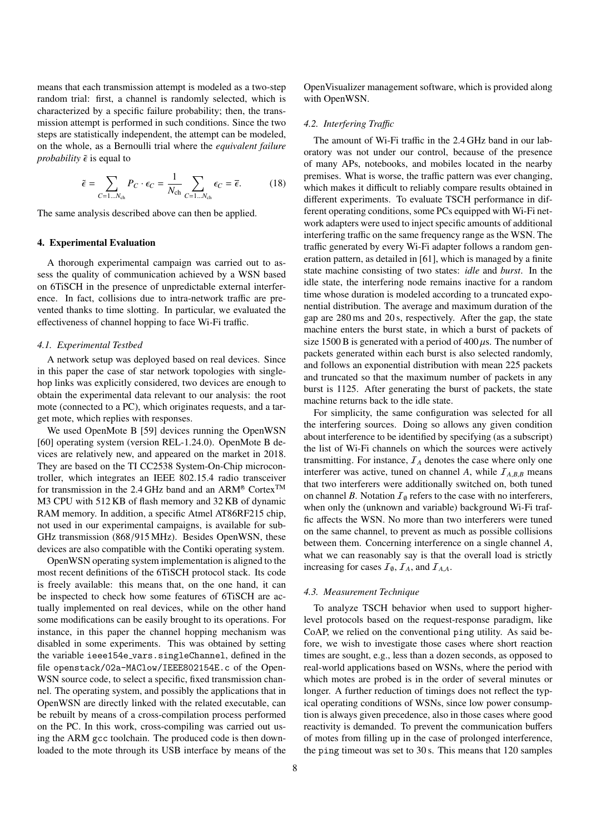means that each transmission attempt is modeled as a two-step random trial: first, a channel is randomly selected, which is characterized by a specific failure probability; then, the transmission attempt is performed in such conditions. Since the two steps are statistically independent, the attempt can be modeled, on the whole, as a Bernoulli trial where the *equivalent failure probability*  $\tilde{\epsilon}$  is equal to

$$
\tilde{\epsilon} = \sum_{C=1...N_{\text{ch}}} P_C \cdot \epsilon_C = \frac{1}{N_{\text{ch}}} \sum_{C=1...N_{\text{ch}}} \epsilon_C = \overline{\epsilon}.
$$
 (18)

The same analysis described above can then be applied.

## 4. Experimental Evaluation

A thorough experimental campaign was carried out to assess the quality of communication achieved by a WSN based on 6TiSCH in the presence of unpredictable external interference. In fact, collisions due to intra-network traffic are prevented thanks to time slotting. In particular, we evaluated the effectiveness of channel hopping to face Wi-Fi traffic.

## *4.1. Experimental Testbed*

A network setup was deployed based on real devices. Since in this paper the case of star network topologies with singlehop links was explicitly considered, two devices are enough to obtain the experimental data relevant to our analysis: the root mote (connected to a PC), which originates requests, and a target mote, which replies with responses.

We used OpenMote B [59] devices running the OpenWSN [60] operating system (version REL-1.24.0). OpenMote B devices are relatively new, and appeared on the market in 2018. They are based on the TI CC2538 System-On-Chip microcontroller, which integrates an IEEE 802.15.4 radio transceiver for transmission in the 2.4 GHz band and an ARM<sup>®</sup> Cortex<sup>TM</sup> M3 CPU with 512 KB of flash memory and 32 KB of dynamic RAM memory. In addition, a specific Atmel AT86RF215 chip, not used in our experimental campaigns, is available for sub-GHz transmission (868/915 MHz). Besides OpenWSN, these devices are also compatible with the Contiki operating system.

OpenWSN operating system implementation is aligned to the most recent definitions of the 6TiSCH protocol stack. Its code is freely available: this means that, on the one hand, it can be inspected to check how some features of 6TiSCH are actually implemented on real devices, while on the other hand some modifications can be easily brought to its operations. For instance, in this paper the channel hopping mechanism was disabled in some experiments. This was obtained by setting the variable ieee154e vars.singleChannel, defined in the file openstack/02a-MAClow/IEEE802154E.c of the Open-WSN source code, to select a specific, fixed transmission channel. The operating system, and possibly the applications that in OpenWSN are directly linked with the related executable, can be rebuilt by means of a cross-compilation process performed on the PC. In this work, cross-compiling was carried out using the ARM gcc toolchain. The produced code is then downloaded to the mote through its USB interface by means of the

OpenVisualizer management software, which is provided along with OpenWSN.

## *4.2. Interfering Tra*ffi*c*

The amount of Wi-Fi traffic in the 2.4 GHz band in our laboratory was not under our control, because of the presence of many APs, notebooks, and mobiles located in the nearby premises. What is worse, the traffic pattern was ever changing, which makes it difficult to reliably compare results obtained in different experiments. To evaluate TSCH performance in different operating conditions, some PCs equipped with Wi-Fi network adapters were used to inject specific amounts of additional interfering traffic on the same frequency range as the WSN. The traffic generated by every Wi-Fi adapter follows a random generation pattern, as detailed in [61], which is managed by a finite state machine consisting of two states: *idle* and *burst*. In the idle state, the interfering node remains inactive for a random time whose duration is modeled according to a truncated exponential distribution. The average and maximum duration of the gap are 280 ms and 20 s, respectively. After the gap, the state machine enters the burst state, in which a burst of packets of size 1500 B is generated with a period of  $400 \mu s$ . The number of packets generated within each burst is also selected randomly, and follows an exponential distribution with mean 225 packets and truncated so that the maximum number of packets in any burst is 1125. After generating the burst of packets, the state machine returns back to the idle state.

For simplicity, the same configuration was selected for all the interfering sources. Doing so allows any given condition about interference to be identified by specifying (as a subscript) the list of Wi-Fi channels on which the sources were actively transmitting. For instance,  $I_A$  denotes the case where only one interferer was active, tuned on channel *A*, while  $I_{A,B,B}$  means that two interferers were additionally switched on, both tuned on channel *B*. Notation  $I_{\emptyset}$  refers to the case with no interferers, when only the (unknown and variable) background Wi-Fi traffic affects the WSN. No more than two interferers were tuned on the same channel, to prevent as much as possible collisions between them. Concerning interference on a single channel *A*, what we can reasonably say is that the overall load is strictly increasing for cases  $\mathcal{I}_0$ ,  $\mathcal{I}_A$ , and  $\mathcal{I}_{A,A}$ .

## *4.3. Measurement Technique*

To analyze TSCH behavior when used to support higherlevel protocols based on the request-response paradigm, like CoAP, we relied on the conventional ping utility. As said before, we wish to investigate those cases where short reaction times are sought, e.g., less than a dozen seconds, as opposed to real-world applications based on WSNs, where the period with which motes are probed is in the order of several minutes or longer. A further reduction of timings does not reflect the typical operating conditions of WSNs, since low power consumption is always given precedence, also in those cases where good reactivity is demanded. To prevent the communication buffers of motes from filling up in the case of prolonged interference, the ping timeout was set to 30 s. This means that 120 samples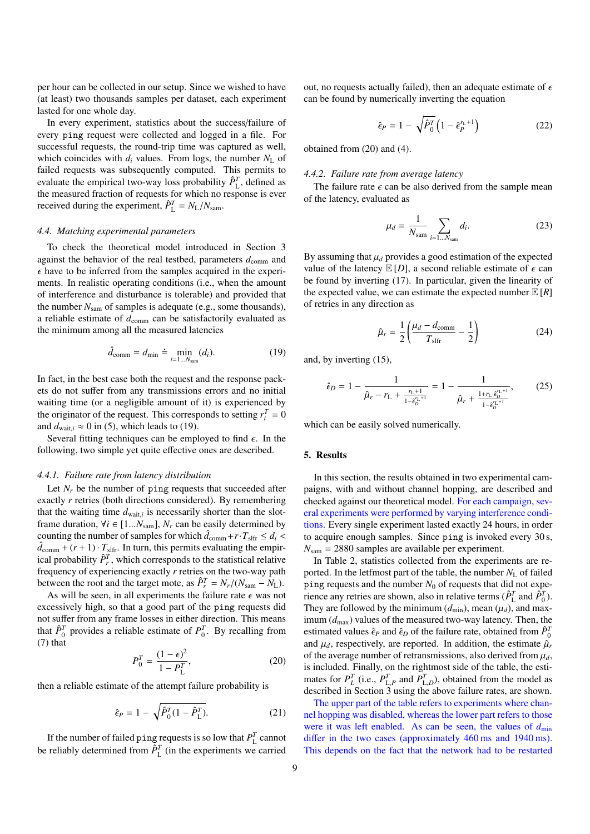per hour can be collected in our setup. Since we wished to have (at least) two thousands samples per dataset, each experiment lasted for one whole day.

In every experiment, statistics about the success/failure of every ping request were collected and logged in a file. For successful requests, the round-trip time was captured as well, which coincides with  $d_i$  values. From logs, the number  $N_L$  of failed requests was subsequently computed. This permits to evaluate the empirical two-way loss probability  $\hat{P}_{L}^{T}$ , defined as the measured fraction of requests for which no response is ever received during the experiment,  $\hat{P}_{\text{L}}^T = N_{\text{L}}/N_{\text{sam}}$ .

#### *4.4. Matching experimental parameters*

To check the theoretical model introduced in Section 3 against the behavior of the real testbed, parameters  $d_{\text{comm}}$  and  $\epsilon$  have to be inferred from the samples acquired in the experiments. In realistic operating conditions (i.e., when the amount of interference and disturbance is tolerable) and provided that the number *N*sam of samples is adequate (e.g., some thousands), a reliable estimate of  $d_{\text{comm}}$  can be satisfactorily evaluated as the minimum among all the measured latencies

$$
\hat{d}_{\text{comm}} = d_{\min} \doteq \min_{i=1...N_{\text{sam}}} (d_i). \tag{19}
$$

In fact, in the best case both the request and the response packets do not suffer from any transmissions errors and no initial waiting time (or a negligible amount of it) is experienced by the originator of the request. This corresponds to setting  $r_i^T = 0$ and  $d_{\text{wait},i} \approx 0$  in (5), which leads to (19).

Several fitting techniques can be employed to find  $\epsilon$ . In the following, two simple yet quite effective ones are described.

#### *4.4.1. Failure rate from latency distribution*

Let  $N_r$  be the number of ping requests that succeeded after exactly *r* retries (both directions considered). By remembering that the waiting time  $d_{\text{wait},i}$  is necessarily shorter than the slot-<br>frame duration  $M_i \in \{1, N_{i-1}, N_{i-1}\}$  are begasive determined by frame duration,  $\forall i \in [1...N_{\text{sam}}]$ ,  $N_r$  can be easily determined by counting the number of samples for which  $\hat{d}_{\text{comm}} + r \cdot T_{\text{sifr}} \leq d_i < \hat{d}_{\text{min}} + (r+1) \cdot T_{\text{s}}$ . In turn this permits evaluating the empir- $\hat{d}_{\text{comm}} + (r+1) \cdot T_{\text{slfr}}$ . In turn, this permits evaluating the empirical probability  $\hat{P}_r^T$ , which corresponds to the statistical relative frequency of experiencing exactly *r* retries on the two-way path between the root and the target mote, as  $\hat{P}_r^T = N_r/(N_{\text{sam}} - N_L)$ .

As will be seen, in all experiments the failure rate  $\epsilon$  was not excessively high, so that a good part of the ping requests did not suffer from any frame losses in either direction. This means that  $\hat{P}_0^T$  provides a reliable estimate of  $P_0^T$ . By recalling from (7) that

$$
P_0^T = \frac{(1 - \epsilon)^2}{1 - P_L^T},\tag{20}
$$

then a reliable estimate of the attempt failure probability is

$$
\hat{\epsilon}_P = 1 - \sqrt{\hat{P}_0^T (1 - \hat{P}_L^T)}.
$$
\n(21)

If the number of failed ping requests is so low that  $P_L^T$  cannot be reliably determined from  $\hat{P}_{\text{L}}^{T}$  (in the experiments we carried out, no requests actually failed), then an adequate estimate of  $\epsilon$ can be found by numerically inverting the equation

$$
\hat{\epsilon}_P = 1 - \sqrt{\hat{P}_0^T} \left( 1 - \hat{\epsilon}_P^{r_L + 1} \right) \tag{22}
$$

obtained from (20) and (4).

#### *4.4.2. Failure rate from average latency*

The failure rate  $\epsilon$  can be also derived from the sample mean of the latency, evaluated as

$$
\mu_d = \frac{1}{N_{\text{sam}}} \sum_{i=1...N_{\text{sam}}} d_i.
$$
 (23)

By assuming that  $\mu_d$  provides a good estimation of the expected value of the latency  $E[D]$ , a second reliable estimate of  $\epsilon$  can be found by inverting (17). In particular, given the linearity of the expected value, we can estimate the expected number  $E[R]$ of retries in any direction as

$$
\hat{\mu}_r = \frac{1}{2} \left( \frac{\mu_d - d_{\text{comm}}}{T_{\text{slfr}}} - \frac{1}{2} \right) \tag{24}
$$

and, by inverting (15),

$$
\hat{\epsilon}_D = 1 - \frac{1}{\hat{\mu}_r - r_L + \frac{r_L + 1}{1 - \hat{\epsilon}_D^{r_L + 1}}} = 1 - \frac{1}{\hat{\mu}_r + \frac{1 + r_L \hat{\epsilon}_D^{r_L + 1}}{1 - \hat{\epsilon}_D^{r_L + 1}}},\tag{25}
$$

which can be easily solved numerically.

## 5. Results

In this section, the results obtained in two experimental campaigns, with and without channel hopping, are described and checked against our theoretical model. For each campaign, several experiments were performed by varying interference conditions. Every single experiment lasted exactly 24 hours, in order to acquire enough samples. Since ping is invoked every 30 s,  $N_{\text{sam}} = 2880$  samples are available per experiment.

In Table 2, statistics collected from the experiments are reported. In the letfmost part of the table, the number  $N_L$  of failed ping requests and the number  $N_0$  of requests that did not experience any retries are shown, also in relative terms ( $\hat{P}_{\text{L}}^{T}$  and  $\hat{P}_{0}^{T}$ ). They are followed by the minimum  $(d_{min})$ , mean  $(\mu_d)$ , and maximum (*d*max) values of the measured two-way latency. Then, the estimated values  $\hat{\epsilon}_P$  and  $\hat{\epsilon}_D$  of the failure rate, obtained from  $\hat{P}^7$ <sup>0</sup> and  $\mu$ , respectively are reported. In addition, the estimate  $\hat{\mu}$ and  $\mu_d$ , respectively, are reported. In addition, the estimate  $\hat{\mu}_r$ of the average number of retransmissions, also derived from  $\mu_d$ , is included. Finally, on the rightmost side of the table, the estimates for  $P_L^T$  (i.e.,  $P_{L,P}^T$  and  $P_{L,D}^T$ ), obtained from the model as mates for  $P_L$  (i.e.,  $P_{L,p}$  and  $P_{L,D}$ ), columned from the model as described in Section 3 using the above failure rates, are shown.

The upper part of the table refers to experiments where channel hopping was disabled, whereas the lower part refers to those were it was left enabled. As can be seen, the values of  $d_{\text{min}}$ differ in the two cases (approximately 460 ms and 1940 ms). This depends on the fact that the network had to be restarted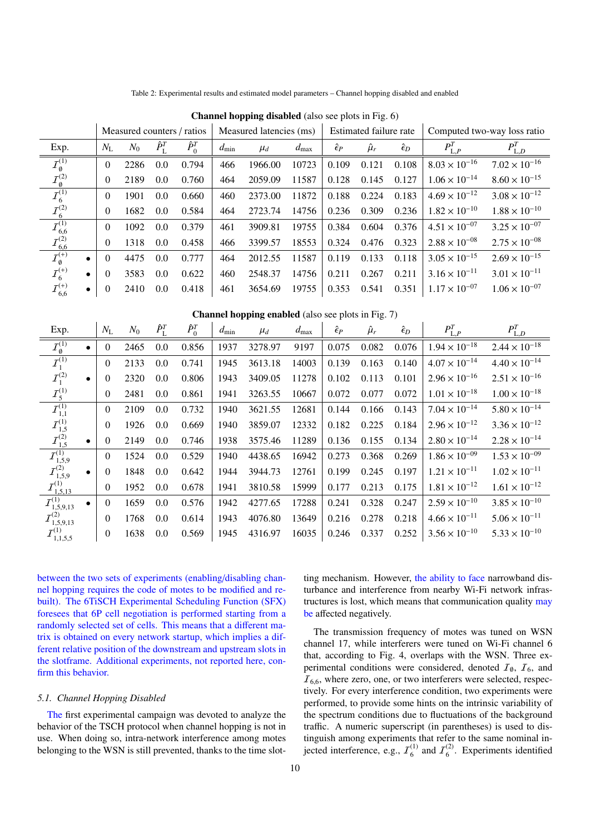| <b>Channel hopping disabled</b> (also see plots in Fig. 6) |              |       |                     |                            |                         |         |            |                    |                        |                    |                             |                        |
|------------------------------------------------------------|--------------|-------|---------------------|----------------------------|-------------------------|---------|------------|--------------------|------------------------|--------------------|-----------------------------|------------------------|
|                                                            |              |       |                     | Measured counters / ratios | Measured latencies (ms) |         |            |                    | Estimated failure rate |                    | Computed two-way loss ratio |                        |
| Exp.                                                       | $N_{\rm L}$  | $N_0$ | $\hat{P}_{\rm L}^T$ | $\hat{P}_0^T$              | $d_{\min}$              | $\mu_d$ | $d_{\max}$ | $\hat{\epsilon}_P$ | $\hat{\mu}_r$          | $\hat{\epsilon}_D$ | $P_{\mathrm{L},P}^{T}$      | $P_{\mathrm{L},D}^{T}$ |
| $\overline{I}_{\emptyset}^{(1)}$                           | $\theta$     | 2286  | 0.0                 | 0.794                      | 466                     | 1966.00 | 10723      | 0.109              | 0.121                  | 0.108              | $8.03 \times 10^{-16}$      | $7.02 \times 10^{-16}$ |
| $\mathcal{I}_\emptyset^{(2)}$                              | $\mathbf{0}$ | 2189  | 0.0                 | 0.760                      | 464                     | 2059.09 | 11587      | 0.128              | 0.145                  | 0.127              | $1.06 \times 10^{-14}$      | $8.60 \times 10^{-15}$ |
| $\overline{I}_6^{(1)}$                                     | $\theta$     | 1901  | 0.0                 | 0.660                      | 460                     | 2373.00 | 11872      | 0.188              | 0.224                  | 0.183              | $4.69 \times 10^{-12}$      | $3.08 \times 10^{-12}$ |
| ${\cal I}_6^{(2)}$                                         | $\theta$     | 1682  | 0.0                 | 0.584                      | 464                     | 2723.74 | 14756      | 0.236              | 0.309                  | 0.236              | $1.82 \times 10^{-10}$      | $1.88 \times 10^{-10}$ |
|                                                            | $\theta$     | 1092  | 0.0                 | 0.379                      | 461                     | 3909.81 | 19755      | 0.384              | 0.604                  | 0.376              | $4.51 \times 10^{-07}$      | $3.25 \times 10^{-07}$ |
| $\overline{I^{(1)}_{6,6}}$<br>$\overline{I^{(2)}_{6,6}}$   | $\theta$     | 1318  | 0.0                 | 0.458                      | 466                     | 3399.57 | 18553      | 0.324              | 0.476                  | 0.323              | $2.88 \times 10^{-08}$      | $2.75 \times 10^{-08}$ |
| $\mathcal{I}_{\emptyset}^{(+)}$<br>$\bullet$               | $\theta$     | 4475  | 0.0                 | 0.777                      | 464                     | 2012.55 | 11587      | 0.119              | 0.133                  | 0.118              | $3.05 \times 10^{-15}$      | $2.69 \times 10^{-15}$ |
| ${\cal I}_6^{(+)}$<br>$\bullet$                            | $\theta$     | 3583  | 0.0                 | 0.622                      | 460                     | 2548.37 | 14756      | 0.211              | 0.267                  | 0.211              | $3.16 \times 10^{-11}$      | $3.01 \times 10^{-11}$ |
| ${\mathcal{I}}_{6,6}^{\left( +\right) }$<br>$\bullet$      | $\mathbf{0}$ | 2410  | 0.0                 | 0.418                      | 461                     | 3654.69 | 19755      | 0.353              | 0.541                  | 0.351              | $1.17 \times 10^{-07}$      | $1.06 \times 10^{-07}$ |

Table 2: Experimental results and estimated model parameters – Channel hopping disabled and enabled

Channel hopping enabled (also see plots in Fig. 7)

| Exp.                             |           | $N_{\rm L}$      | $N_0$ | $\hat{P}_{\rm L}^T$ | $\hat{P}_0^T$ | $d_{\min}$ | $\mu_d$ | $d_{\max}$ | $\hat{\epsilon}_P$ | $\hat{\mu}_r$ | $\hat{\epsilon}_D$ | $P_{\mathrm{L},P}^{T}$ | $P_{\mathrm{L},D}^{T}$ |
|----------------------------------|-----------|------------------|-------|---------------------|---------------|------------|---------|------------|--------------------|---------------|--------------------|------------------------|------------------------|
| $\overline{I_{\emptyset}^{(1)}}$ |           | $\mathbf{0}$     | 2465  | 0.0                 | 0.856         | 1937       | 3278.97 | 9197       | 0.075              | 0.082         | 0.076              | $1.94 \times 10^{-18}$ | $2.44 \times 10^{-18}$ |
| ${\cal I}_1^{(1)}$               |           | $\mathbf{0}$     | 2133  | 0.0                 | 0.741         | 1945       | 3613.18 | 14003      | 0.139              | 0.163         | 0.140              | $4.07 \times 10^{-14}$ | $4.40 \times 10^{-14}$ |
| $I_1^{(2)}$                      | $\bullet$ | $\mathbf{0}$     | 2320  | 0.0                 | 0.806         | 1943       | 3409.05 | 11278      | 0.102              | 0.113         | 0.101              | $2.96 \times 10^{-16}$ | $2.51 \times 10^{-16}$ |
| ${\cal I}_5^{(1)}$               |           | $\mathbf{0}$     | 2481  | 0.0                 | 0.861         | 1941       | 3263.55 | 10667      | 0.072              | 0.077         | 0.072              | $1.01 \times 10^{-18}$ | $1.00 \times 10^{-18}$ |
| ${\cal I}_{1,1}^{(1)}$           |           | $\overline{0}$   | 2109  | 0.0                 | 0.732         | 1940       | 3621.55 | 12681      | 0.144              | 0.166         | 0.143              | $7.04 \times 10^{-14}$ | $5.80 \times 10^{-14}$ |
| ${\cal I}_{1,5}^{(1)}$           |           | $\theta$         | 1926  | 0.0                 | 0.669         | 1940       | 3859.07 | 12332      | 0.182              | 0.225         | 0.184              | $2.96 \times 10^{-12}$ | $3.36 \times 10^{-12}$ |
| ${\cal I}_{1,5}^{(2)}$           | $\bullet$ | $\mathbf{0}$     | 2149  | 0.0                 | 0.746         | 1938       | 3575.46 | 11289      | 0.136              | 0.155         | 0.134              | $2.80 \times 10^{-14}$ | $2.28 \times 10^{-14}$ |
| ${\mathcal I}^{(1)}_{1,5,9}$     |           | $\theta$         | 1524  | 0.0                 | 0.529         | 1940       | 4438.65 | 16942      | 0.273              | 0.368         | 0.269              | $1.86 \times 10^{-09}$ | $1.53 \times 10^{-09}$ |
| $\mathcal{I}_{1,5,9}^{(2)}$      |           | $\theta$         | 1848  | 0.0                 | 0.642         | 1944       | 3944.73 | 12761      | 0.199              | 0.245         | 0.197              | $1.21 \times 10^{-11}$ | $1.02 \times 10^{-11}$ |
| $\mathcal{I}_{1,5,13}^{(1)}$     |           | $\mathbf{0}$     | 1952  | 0.0                 | 0.678         | 1941       | 3810.58 | 15999      | 0.177              | 0.213         | 0.175              | $1.81 \times 10^{-12}$ | $1.61 \times 10^{-12}$ |
| $\mathcal{I}_{1,5,9,13}^{(1)}$   | $\bullet$ | $\theta$         | 1659  | 0.0                 | 0.576         | 1942       | 4277.65 | 17288      | 0.241              | 0.328         | 0.247              | $2.59 \times 10^{-10}$ | $3.85 \times 10^{-10}$ |
| $\mathcal{I}_{1,5,9,13}^{(2)}$   |           | $\mathbf{0}$     | 1768  | 0.0                 | 0.614         | 1943       | 4076.80 | 13649      | 0.216              | 0.278         | 0.218              | $4.66 \times 10^{-11}$ | $5.06 \times 10^{-11}$ |
| ${\cal I}_{1,1,5,5}^{(1)}$       |           | $\boldsymbol{0}$ | 1638  | 0.0                 | 0.569         | 1945       | 4316.97 | 16035      | 0.246              | 0.337         | 0.252              | $3.56 \times 10^{-10}$ | $5.33 \times 10^{-10}$ |
|                                  |           |                  |       |                     |               |            |         |            |                    |               |                    |                        |                        |

between the two sets of experiments (enabling/disabling channel hopping requires the code of motes to be modified and rebuilt). The 6TiSCH Experimental Scheduling Function (SFX) foresees that 6P cell negotiation is performed starting from a randomly selected set of cells. This means that a different matrix is obtained on every network startup, which implies a different relative position of the downstream and upstream slots in the slotframe. Additional experiments, not reported here, confirm this behavior.

## *5.1. Channel Hopping Disabled*

The first experimental campaign was devoted to analyze the behavior of the TSCH protocol when channel hopping is not in use. When doing so, intra-network interference among motes belonging to the WSN is still prevented, thanks to the time slotting mechanism. However, the ability to face narrowband disturbance and interference from nearby Wi-Fi network infrastructures is lost, which means that communication quality may be affected negatively.

The transmission frequency of motes was tuned on WSN channel 17, while interferers were tuned on Wi-Fi channel 6 that, according to Fig. 4, overlaps with the WSN. Three experimental conditions were considered, denoted  $\mathcal{I}_{\emptyset}$ ,  $\mathcal{I}_{6}$ , and  $I_{6,6}$ , where zero, one, or two interferers were selected, respectively. For every interference condition, two experiments were performed, to provide some hints on the intrinsic variability of the spectrum conditions due to fluctuations of the background traffic. A numeric superscript (in parentheses) is used to distinguish among experiments that refer to the same nominal injected interference, e.g.,  $I_6^{(1)}$  $I_6^{(1)}$  and  $I_6^{(2)}$  $6^{(2)}$ . Experiments identified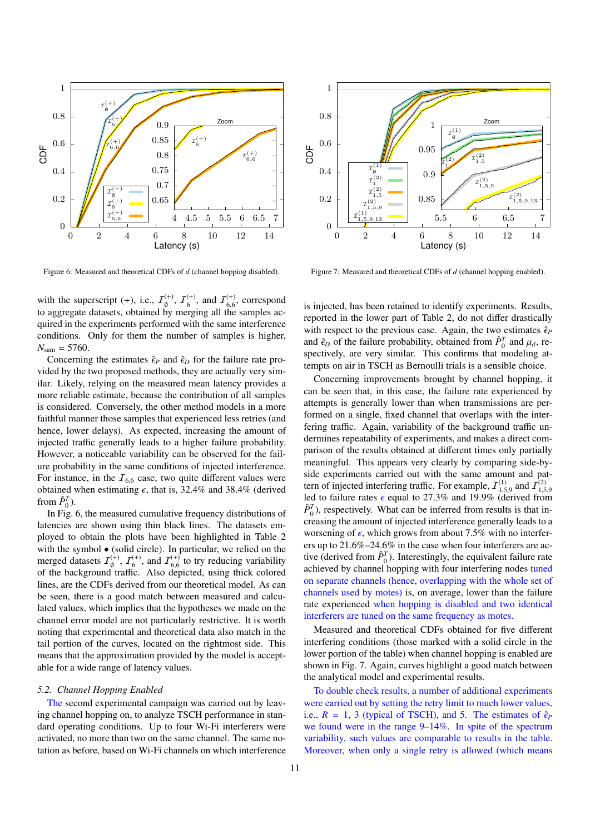

Figure 6: Measured and theoretical CDFs of *d* (channel hopping disabled).

with the superscript (+), i.e.,  $\mathcal{I}_{\emptyset}^{(+)}$ ,  $\mathcal{I}_{\emptyset}^{(+)}$  $I_{6,6}^{(+)}$ , and  $I_{6,6}^{(+)}$ , correspond which the superscript (1), i.e.,  $\mathbf{z}_{\theta}$ ,  $\mathbf{z}_{6}$ , and  $\mathbf{z}_{6,6}$ , corresponds to aggregate datasets, obtained by merging all the samples acquired in the experiments performed with the same interference conditions. Only for them the number of samples is higher,  $N_{\text{sam}} = 5760.$ 

Concerning the estimates  $\hat{\epsilon}_P$  and  $\hat{\epsilon}_D$  for the failure rate provided by the two proposed methods, they are actually very similar. Likely, relying on the measured mean latency provides a more reliable estimate, because the contribution of all samples is considered. Conversely, the other method models in a more faithful manner those samples that experienced less retries (and hence, lower delays). As expected, increasing the amount of injected traffic generally leads to a higher failure probability. However, a noticeable variability can be observed for the failure probability in the same conditions of injected interference. For instance, in the  $I_{6,6}$  case, two quite different values were obtained when estimating  $\epsilon$ , that is, 32.4% and 38.4% (derived from  $\hat{P}_0^T$ ).

In Fig. 6, the measured cumulative frequency distributions of latencies are shown using thin black lines. The datasets employed to obtain the plots have been highlighted in Table 2 with the symbol • (solid circle). In particular, we relied on the merged datasets  $\mathcal{I}_{\emptyset}^{(+)}$ ,  $\mathcal{I}_{6}^{(+)}$  $I_{6,6}^{(+)}$ , and  $I_{6,6}^{(+)}$  $^{(+)}_{6,6}$  to try reducing variability<br>depicted using thick colored of the background traffic. Also depicted, using thick colored lines, are the CDFs derived from our theoretical model. As can be seen, there is a good match between measured and calculated values, which implies that the hypotheses we made on the channel error model are not particularly restrictive. It is worth noting that experimental and theoretical data also match in the tail portion of the curves, located on the rightmost side. This means that the approximation provided by the model is acceptable for a wide range of latency values.

#### *5.2. Channel Hopping Enabled*

The second experimental campaign was carried out by leaving channel hopping on, to analyze TSCH performance in standard operating conditions. Up to four Wi-Fi interferers were activated, no more than two on the same channel. The same notation as before, based on Wi-Fi channels on which interference



Figure 7: Measured and theoretical CDFs of *d* (channel hopping enabled).

is injected, has been retained to identify experiments. Results, reported in the lower part of Table 2, do not differ drastically with respect to the previous case. Again, the two estimates  $\hat{\epsilon}_P$ and  $\hat{\epsilon}_D$  of the failure probability, obtained from  $\hat{P}_0^T$  and  $\mu_d$ , re-<br>spectively are very similar. This confirms that modeling at spectively, are very similar. This confirms that modeling attempts on air in TSCH as Bernoulli trials is a sensible choice.

Concerning improvements brought by channel hopping, it can be seen that, in this case, the failure rate experienced by attempts is generally lower than when transmissions are performed on a single, fixed channel that overlaps with the interfering traffic. Again, variability of the background traffic undermines repeatability of experiments, and makes a direct comparison of the results obtained at different times only partially meaningful. This appears very clearly by comparing side-byside experiments carried out with the same amount and pattern of injected interfering traffic. For example,  $I_1^{(1)}$ <sup>(1)</sup> and  $\bar{I}_{1,5}^{(2)}$ <br>(derived from Let us to find the interesting training training training training training training training training training  $\hat{p}^T$ ) respectively. What can be inferred from results is that in- $\hat{P}_0^T$ ), respectively. What can be inferred from results is that increasing the amount of injected interference generally leads to a worsening of  $\epsilon$ , which grows from about 7.5% with no interferers up to 21.6%–24.6% in the case when four interferers are active (derived from  $\hat{P}_{0}^{T}$ ). Interestingly, the equivalent failure rate achieved by channel hopping with four interfering nodes tuned on separate channels (hence, overlapping with the whole set of channels used by motes) is, on average, lower than the failure rate experienced when hopping is disabled and two identical interferers are tuned on the same frequency as motes.

Measured and theoretical CDFs obtained for five different interfering conditions (those marked with a solid circle in the lower portion of the table) when channel hopping is enabled are shown in Fig. 7. Again, curves highlight a good match between the analytical model and experimental results.

To double check results, a number of additional experiments were carried out by setting the retry limit to much lower values, i.e.,  $R = 1$ , 3 (typical of TSCH), and 5. The estimates of  $\hat{\epsilon}_P$ we found were in the range 9–14%. In spite of the spectrum variability, such values are comparable to results in the table. Moreover, when only a single retry is allowed (which means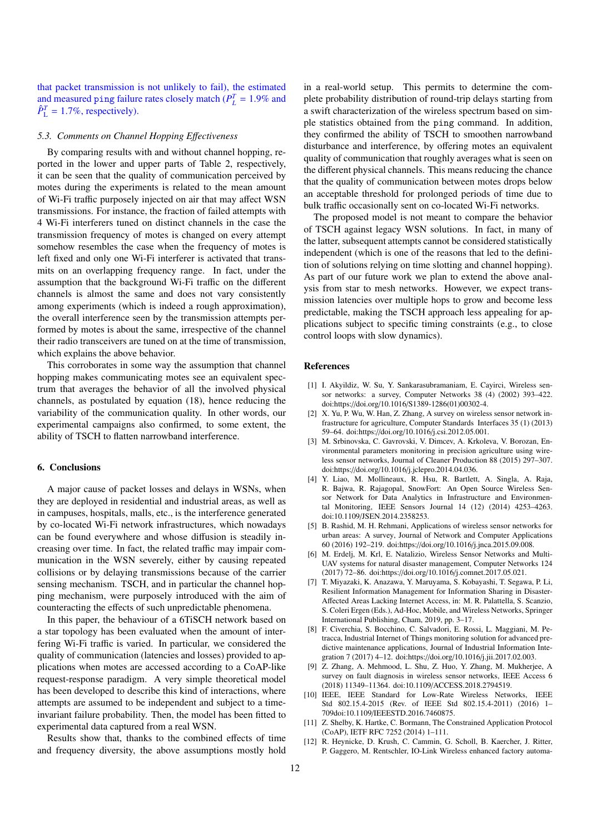that packet transmission is not unlikely to fail), the estimated and measured ping failure rates closely match ( $P_L^T = 1.9\%$  and  $\hat{P}_L^T = 1.7\%$  respectively)  $\hat{P}_{\text{L}}^T = 1.7\%$ , respectively).

#### *5.3. Comments on Channel Hopping E*ff*ectiveness*

By comparing results with and without channel hopping, reported in the lower and upper parts of Table 2, respectively, it can be seen that the quality of communication perceived by motes during the experiments is related to the mean amount of Wi-Fi traffic purposely injected on air that may affect WSN transmissions. For instance, the fraction of failed attempts with 4 Wi-Fi interferers tuned on distinct channels in the case the transmission frequency of motes is changed on every attempt somehow resembles the case when the frequency of motes is left fixed and only one Wi-Fi interferer is activated that transmits on an overlapping frequency range. In fact, under the assumption that the background Wi-Fi traffic on the different channels is almost the same and does not vary consistently among experiments (which is indeed a rough approximation), the overall interference seen by the transmission attempts performed by motes is about the same, irrespective of the channel their radio transceivers are tuned on at the time of transmission, which explains the above behavior.

This corroborates in some way the assumption that channel hopping makes communicating motes see an equivalent spectrum that averages the behavior of all the involved physical channels, as postulated by equation (18), hence reducing the variability of the communication quality. In other words, our experimental campaigns also confirmed, to some extent, the ability of TSCH to flatten narrowband interference.

### 6. Conclusions

A major cause of packet losses and delays in WSNs, when they are deployed in residential and industrial areas, as well as in campuses, hospitals, malls, etc., is the interference generated by co-located Wi-Fi network infrastructures, which nowadays can be found everywhere and whose diffusion is steadily increasing over time. In fact, the related traffic may impair communication in the WSN severely, either by causing repeated collisions or by delaying transmissions because of the carrier sensing mechanism. TSCH, and in particular the channel hopping mechanism, were purposely introduced with the aim of counteracting the effects of such unpredictable phenomena.

In this paper, the behaviour of a 6TiSCH network based on a star topology has been evaluated when the amount of interfering Wi-Fi traffic is varied. In particular, we considered the quality of communication (latencies and losses) provided to applications when motes are accessed according to a CoAP-like request-response paradigm. A very simple theoretical model has been developed to describe this kind of interactions, where attempts are assumed to be independent and subject to a timeinvariant failure probability. Then, the model has been fitted to experimental data captured from a real WSN.

Results show that, thanks to the combined effects of time and frequency diversity, the above assumptions mostly hold in a real-world setup. This permits to determine the complete probability distribution of round-trip delays starting from a swift characterization of the wireless spectrum based on simple statistics obtained from the ping command. In addition, they confirmed the ability of TSCH to smoothen narrowband disturbance and interference, by offering motes an equivalent quality of communication that roughly averages what is seen on the different physical channels. This means reducing the chance that the quality of communication between motes drops below an acceptable threshold for prolonged periods of time due to bulk traffic occasionally sent on co-located Wi-Fi networks.

The proposed model is not meant to compare the behavior of TSCH against legacy WSN solutions. In fact, in many of the latter, subsequent attempts cannot be considered statistically independent (which is one of the reasons that led to the definition of solutions relying on time slotting and channel hopping). As part of our future work we plan to extend the above analysis from star to mesh networks. However, we expect transmission latencies over multiple hops to grow and become less predictable, making the TSCH approach less appealing for applications subject to specific timing constraints (e.g., to close control loops with slow dynamics).

#### References

- [1] I. Akyildiz, W. Su, Y. Sankarasubramaniam, E. Cayirci, Wireless sensor networks: a survey, Computer Networks 38 (4) (2002) 393–422. doi:https://doi.org/10.1016/S1389-1286(01)00302-4.
- [2] X. Yu, P. Wu, W. Han, Z. Zhang, A survey on wireless sensor network infrastructure for agriculture, Computer Standards Interfaces 35 (1) (2013) 59–64. doi:https://doi.org/10.1016/j.csi.2012.05.001.
- [3] M. Srbinovska, C. Gavrovski, V. Dimcev, A. Krkoleva, V. Borozan, Environmental parameters monitoring in precision agriculture using wireless sensor networks, Journal of Cleaner Production 88 (2015) 297–307. doi:https://doi.org/10.1016/j.jclepro.2014.04.036.
- [4] Y. Liao, M. Mollineaux, R. Hsu, R. Bartlett, A. Singla, A. Raja, R. Bajwa, R. Rajagopal, SnowFort: An Open Source Wireless Sensor Network for Data Analytics in Infrastructure and Environmental Monitoring, IEEE Sensors Journal 14 (12) (2014) 4253–4263. doi:10.1109/JSEN.2014.2358253.
- [5] B. Rashid, M. H. Rehmani, Applications of wireless sensor networks for urban areas: A survey, Journal of Network and Computer Applications 60 (2016) 192–219. doi:https://doi.org/10.1016/j.jnca.2015.09.008.
- [6] M. Erdelj, M. Krl, E. Natalizio, Wireless Sensor Networks and Multi-UAV systems for natural disaster management, Computer Networks 124 (2017) 72–86. doi:https://doi.org/10.1016/j.comnet.2017.05.021.
- [7] T. Miyazaki, K. Anazawa, Y. Maruyama, S. Kobayashi, T. Segawa, P. Li, Resilient Information Management for Information Sharing in Disaster-Affected Areas Lacking Internet Access, in: M. R. Palattella, S. Scanzio, S. Coleri Ergen (Eds.), Ad-Hoc, Mobile, and Wireless Networks, Springer International Publishing, Cham, 2019, pp. 3–17.
- [8] F. Civerchia, S. Bocchino, C. Salvadori, E. Rossi, L. Maggiani, M. Petracca, Industrial Internet of Things monitoring solution for advanced predictive maintenance applications, Journal of Industrial Information Integration 7 (2017) 4–12. doi:https://doi.org/10.1016/j.jii.2017.02.003.
- [9] Z. Zhang, A. Mehmood, L. Shu, Z. Huo, Y. Zhang, M. Mukherjee, A survey on fault diagnosis in wireless sensor networks, IEEE Access 6 (2018) 11349–11364. doi:10.1109/ACCESS.2018.2794519.
- [10] IEEE, IEEE Standard for Low-Rate Wireless Networks, IEEE Std 802.15.4-2015 (Rev. of IEEE Std 802.15.4-2011) (2016) 1– 709doi:10.1109/IEEESTD.2016.7460875.
- [11] Z. Shelby, K. Hartke, C. Bormann, The Constrained Application Protocol (CoAP), IETF RFC 7252 (2014) 1–111.
- [12] R. Heynicke, D. Krush, C. Cammin, G. Scholl, B. Kaercher, J. Ritter, P. Gaggero, M. Rentschler, IO-Link Wireless enhanced factory automa-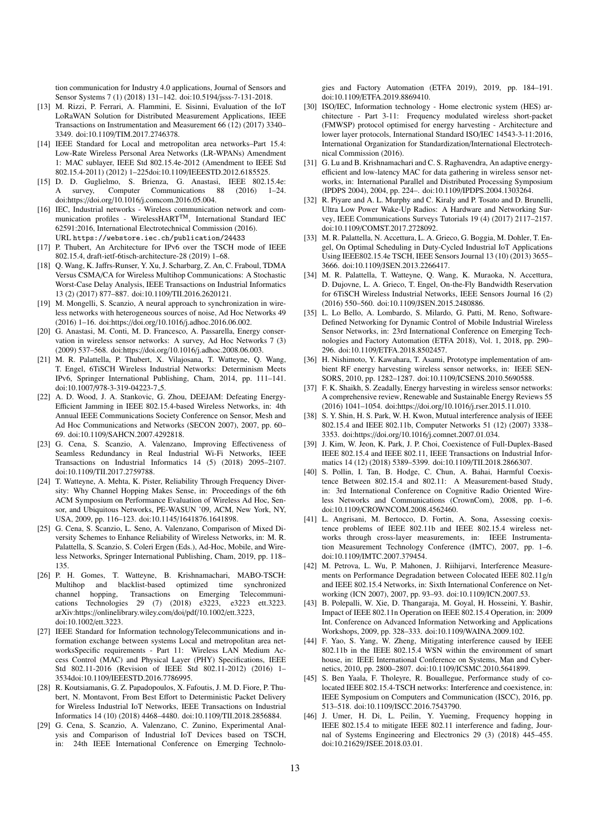tion communication for Industry 4.0 applications, Journal of Sensors and Sensor Systems 7 (1) (2018) 131–142. doi:10.5194/jsss-7-131-2018.

- [13] M. Rizzi, P. Ferrari, A. Flammini, E. Sisinni, Evaluation of the IoT LoRaWAN Solution for Distributed Measurement Applications, IEEE Transactions on Instrumentation and Measurement 66 (12) (2017) 3340– 3349. doi:10.1109/TIM.2017.2746378.
- [14] IEEE Standard for Local and metropolitan area networks–Part 15.4: Low-Rate Wireless Personal Area Networks (LR-WPANs) Amendment 1: MAC sublayer, IEEE Std 802.15.4e-2012 (Amendment to IEEE Std 802.15.4-2011) (2012) 1–225doi:10.1109/IEEESTD.2012.6185525.
- [15] D. D. Guglielmo, S. Brienza, G. Anastasi, IEEE 802.15.4e: A survey, Computer Communications 88 (2016) 1–24. doi:https://doi.org/10.1016/j.comcom.2016.05.004.
- [16] IEC, Industrial networks Wireless communication network and communication profiles - WirelessHART<sup>TM</sup>, International Standard IEC 62591:2016, International Electrotechnical Commission (2016). URL https://webstore.iec.ch/publication/24433
- [17] P. Thubert, An Architecture for IPv6 over the TSCH mode of IEEE 802.15.4, draft-ietf-6tisch-architecture-28 (2019) 1–68.
- [18] Q. Wang, K. Jaffrs-Runser, Y. Xu, J. Scharbarg, Z. An, C. Fraboul, TDMA Versus CSMA/CA for Wireless Multihop Communications: A Stochastic Worst-Case Delay Analysis, IEEE Transactions on Industrial Informatics 13 (2) (2017) 877–887. doi:10.1109/TII.2016.2620121.
- [19] M. Mongelli, S. Scanzio, A neural approach to synchronization in wireless networks with heterogeneous sources of noise, Ad Hoc Networks 49 (2016) 1–16. doi:https://doi.org/10.1016/j.adhoc.2016.06.002.
- [20] G. Anastasi, M. Conti, M. D. Francesco, A. Passarella, Energy conservation in wireless sensor networks: A survey, Ad Hoc Networks 7 (3) (2009) 537–568. doi:https://doi.org/10.1016/j.adhoc.2008.06.003.
- [21] M. R. Palattella, P. Thubert, X. Vilajosana, T. Watteyne, Q. Wang, T. Engel, 6TiSCH Wireless Industrial Networks: Determinism Meets IPv6, Springer International Publishing, Cham, 2014, pp. 111–141. doi:10.1007/978-3-319-04223-7 5.
- [22] A. D. Wood, J. A. Stankovic, G. Zhou, DEEJAM: Defeating Energy-Efficient Jamming in IEEE 802.15.4-based Wireless Networks, in: 4th Annual IEEE Communications Society Conference on Sensor, Mesh and Ad Hoc Communications and Networks (SECON 2007), 2007, pp. 60– 69. doi:10.1109/SAHCN.2007.4292818.
- [23] G. Cena, S. Scanzio, A. Valenzano, Improving Effectiveness of Seamless Redundancy in Real Industrial Wi-Fi Networks, IEEE Transactions on Industrial Informatics 14 (5) (2018) 2095–2107. doi:10.1109/TII.2017.2759788.
- [24] T. Watteyne, A. Mehta, K. Pister, Reliability Through Frequency Diversity: Why Channel Hopping Makes Sense, in: Proceedings of the 6th ACM Symposium on Performance Evaluation of Wireless Ad Hoc, Sensor, and Ubiquitous Networks, PE-WASUN '09, ACM, New York, NY, USA, 2009, pp. 116–123. doi:10.1145/1641876.1641898.
- [25] G. Cena, S. Scanzio, L. Seno, A. Valenzano, Comparison of Mixed Diversity Schemes to Enhance Reliability of Wireless Networks, in: M. R. Palattella, S. Scanzio, S. Coleri Ergen (Eds.), Ad-Hoc, Mobile, and Wireless Networks, Springer International Publishing, Cham, 2019, pp. 118– 135.
- [26] P. H. Gomes, T. Watteyne, B. Krishnamachari, MABO-TSCH: Multihop and blacklist-based optimized time synchronized channel hopping, Transactions on Emerging Telecommunications Technologies 29 (7) (2018) e3223, e3223 ett.3223. arXiv:https://onlinelibrary.wiley.com/doi/pdf/10.1002/ett.3223, doi:10.1002/ett.3223.
- [27] IEEE Standard for Information technologyTelecommunications and information exchange between systems Local and metropolitan area networksSpecific requirements - Part 11: Wireless LAN Medium Access Control (MAC) and Physical Layer (PHY) Specifications, IEEE Std 802.11-2016 (Revision of IEEE Std 802.11-2012) (2016) 1– 3534doi:10.1109/IEEESTD.2016.7786995.
- [28] R. Koutsiamanis, G. Z. Papadopoulos, X. Fafoutis, J. M. D. Fiore, P. Thubert, N. Montavont, From Best Effort to Deterministic Packet Delivery for Wireless Industrial IoT Networks, IEEE Transactions on Industrial Informatics 14 (10) (2018) 4468–4480. doi:10.1109/TII.2018.2856884.
- [29] G. Cena, S. Scanzio, A. Valenzano, C. Zunino, Experimental Analysis and Comparison of Industrial IoT Devices based on TSCH, in: 24th IEEE International Conference on Emerging Technolo-

gies and Factory Automation (ETFA 2019), 2019, pp. 184–191. doi:10.1109/ETFA.2019.8869410.

- [30] ISO/IEC, Information technology Home electronic system (HES) architecture - Part 3-11: Frequency modulated wireless short-packet (FMWSP) protocol optimised for energy harvesting - Architecture and lower layer protocols, International Standard ISO/IEC 14543-3-11:2016, International Organization for Standardization/International Electrotechnical Commission (2016).
- [31] G. Lu and B. Krishnamachari and C. S. Raghavendra, An adaptive energyefficient and low-latency MAC for data gathering in wireless sensor networks, in: International Parallel and Distributed Processing Symposium (IPDPS 2004), 2004, pp. 224–. doi:10.1109/IPDPS.2004.1303264.
- [32] R. Piyare and A. L. Murphy and C. Kiraly and P. Tosato and D. Brunelli, Ultra Low Power Wake-Up Radios: A Hardware and Networking Survey, IEEE Communications Surveys Tutorials 19 (4) (2017) 2117–2157. doi:10.1109/COMST.2017.2728092.
- [33] M. R. Palattella, N. Accettura, L. A. Grieco, G. Boggia, M. Dohler, T. Engel, On Optimal Scheduling in Duty-Cycled Industrial IoT Applications Using IEEE802.15.4e TSCH, IEEE Sensors Journal 13 (10) (2013) 3655– 3666. doi:10.1109/JSEN.2013.2266417.
- [34] M. R. Palattella, T. Watteyne, Q. Wang, K. Muraoka, N. Accettura, D. Dujovne, L. A. Grieco, T. Engel, On-the-Fly Bandwidth Reservation for 6TiSCH Wireless Industrial Networks, IEEE Sensors Journal 16 (2) (2016) 550–560. doi:10.1109/JSEN.2015.2480886.
- [35] L. Lo Bello, A. Lombardo, S. Milardo, G. Patti, M. Reno, Software-Defined Networking for Dynamic Control of Mobile Industrial Wireless Sensor Networks, in: 23rd International Conference on Emerging Technologies and Factory Automation (ETFA 2018), Vol. 1, 2018, pp. 290– 296. doi:10.1109/ETFA.2018.8502457.
- [36] H. Nishimoto, Y. Kawahara, T. Asami, Prototype implementation of ambient RF energy harvesting wireless sensor networks, in: IEEE SEN-SORS, 2010, pp. 1282–1287. doi:10.1109/ICSENS.2010.5690588.
- [37] F. K. Shaikh, S. Zeadally, Energy harvesting in wireless sensor networks: A comprehensive review, Renewable and Sustainable Energy Reviews 55 (2016) 1041–1054. doi:https://doi.org/10.1016/j.rser.2015.11.010.
- [38] S. Y. Shin, H. S. Park, W. H. Kwon, Mutual interference analysis of IEEE 802.15.4 and IEEE 802.11b, Computer Networks 51 (12) (2007) 3338– 3353. doi:https://doi.org/10.1016/j.comnet.2007.01.034.
- [39] J. Kim, W. Jeon, K. Park, J. P. Choi, Coexistence of Full-Duplex-Based IEEE 802.15.4 and IEEE 802.11, IEEE Transactions on Industrial Informatics 14 (12) (2018) 5389–5399. doi:10.1109/TII.2018.2866307.
- [40] S. Pollin, I. Tan, B. Hodge, C. Chun, A. Bahai, Harmful Coexistence Between 802.15.4 and 802.11: A Measurement-based Study, in: 3rd International Conference on Cognitive Radio Oriented Wireless Networks and Communications (CrownCom), 2008, pp. 1–6. doi:10.1109/CROWNCOM.2008.4562460.
- [41] L. Angrisani, M. Bertocco, D. Fortin, A. Sona, Assessing coexistence problems of IEEE 802.11b and IEEE 802.15.4 wireless networks through cross-layer measurements, in: IEEE Instrumentation Measurement Technology Conference (IMTC), 2007, pp. 1–6. doi:10.1109/IMTC.2007.379454.
- [42] M. Petrova, L. Wu, P. Mahonen, J. Riihijarvi, Interference Measurements on Performance Degradation between Colocated IEEE 802.11g/n and IEEE 802.15.4 Networks, in: Sixth International Conference on Networking (ICN 2007), 2007, pp. 93–93. doi:10.1109/ICN.2007.53.
- [43] B. Polepalli, W. Xie, D. Thangaraja, M. Goyal, H. Hosseini, Y. Bashir, Impact of IEEE 802.11n Operation on IEEE 802.15.4 Operation, in: 2009 Int. Conference on Advanced Information Networking and Applications Workshops, 2009, pp. 328–333. doi:10.1109/WAINA.2009.102.
- [44] F. Yao, S. Yang, W. Zheng, Mitigating interference caused by IEEE 802.11b in the IEEE 802.15.4 WSN within the environment of smart house, in: IEEE International Conference on Systems, Man and Cybernetics, 2010, pp. 2800–2807. doi:10.1109/ICSMC.2010.5641899.
- [45] S. Ben Yaala, F. Tholeyre, R. Bouallegue, Performance study of colocated IEEE 802.15.4-TSCH networks: Interference and coexistence, in: IEEE Symposium on Computers and Communication (ISCC), 2016, pp. 513–518. doi:10.1109/ISCC.2016.7543790.
- [46] J. Umer, H. Di, L. Peilin, Y. Yueming, Frequency hopping in IEEE 802.15.4 to mitigate IEEE 802.11 interference and fading, Journal of Systems Engineering and Electronics 29 (3) (2018) 445–455. doi:10.21629/JSEE.2018.03.01.